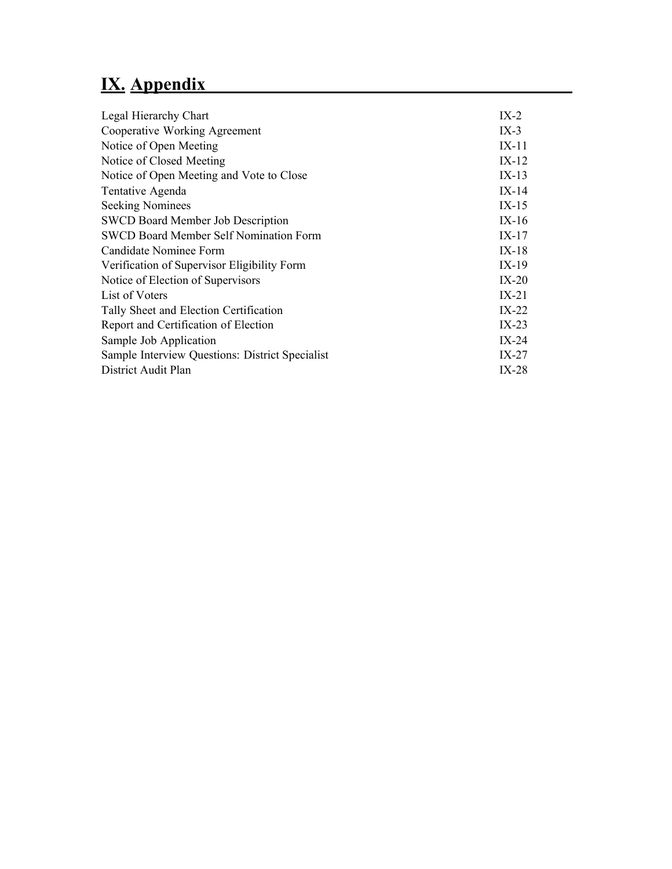# **IX. Appendi x**

| Legal Hierarchy Chart                           | $IX-2$  |
|-------------------------------------------------|---------|
| Cooperative Working Agreement                   | $IX-3$  |
| Notice of Open Meeting                          | $IX-11$ |
| Notice of Closed Meeting                        | $IX-12$ |
| Notice of Open Meeting and Vote to Close        | $IX-13$ |
| Tentative Agenda                                | $IX-14$ |
| <b>Seeking Nominees</b>                         | $IX-15$ |
| SWCD Board Member Job Description               | $IX-16$ |
| <b>SWCD Board Member Self Nomination Form</b>   | $IX-17$ |
| Candidate Nominee Form                          | $IX-18$ |
| Verification of Supervisor Eligibility Form     | $IX-19$ |
| Notice of Election of Supervisors               | $IX-20$ |
| List of Voters                                  | $IX-21$ |
| Tally Sheet and Election Certification          | $IX-22$ |
| Report and Certification of Election            | $IX-23$ |
| Sample Job Application                          | $IX-24$ |
| Sample Interview Questions: District Specialist | $IX-27$ |
| District Audit Plan                             | IX-28   |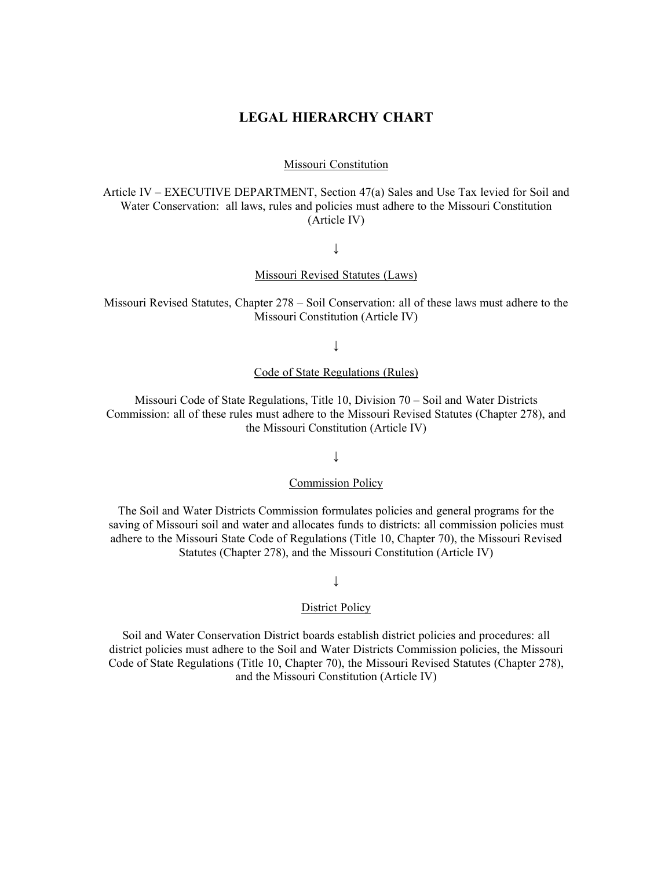# **LEGAL HIERARCHY CHART**

#### Missouri Constitution

# Article IV – EXECUTIVE DEPARTMENT, Section 47(a) Sales and Use Tax levied for Soil and Water Conservation: all laws, rules and policies must adhere to the Missouri Constitution (Article IV)

**↓**

Missouri Revised Statutes (Laws)

Missouri Revised Statutes, Chapter 278 – Soil Conservation: all of these laws must adhere to the Missouri Constitution (Article IV)

**↓**

#### Code of State Regulations (Rules)

Missouri Code of State Regulations, Title 10, Division 70 – Soil and Water Districts Commission: all of these rules must adhere to the Missouri Revised Statutes (Chapter 278), and the Missouri Constitution (Article IV)

# **↓**

### Commission Policy

The Soil and Water Districts Commission formulates policies and general programs for the saving of Missouri soil and water and allocates funds to districts: all commission policies must adhere to the Missouri State Code of Regulations (Title 10, Chapter 70), the Missouri Revised Statutes (Chapter 278), and the Missouri Constitution (Article IV)

# **↓**

#### District Policy

Soil and Water Conservation District boards establish district policies and procedures: all district policies must adhere to the Soil and Water Districts Commission policies, the Missouri Code of State Regulations (Title 10, Chapter 70), the Missouri Revised Statutes (Chapter 278), and the Missouri Constitution (Article IV)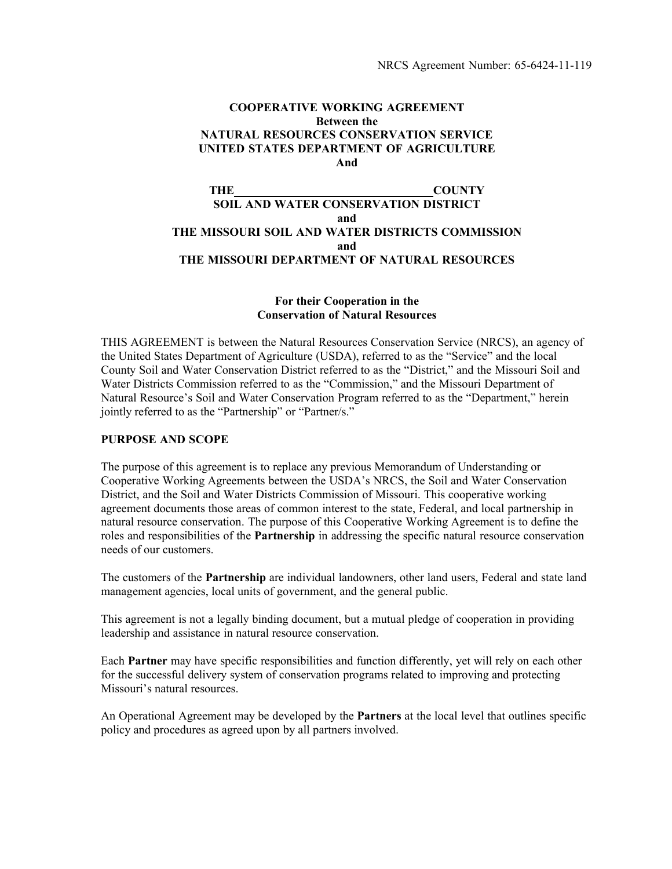# **COOPERATIVE WORKING AGREEMENT Between the NATURAL RESOURCES CONSERVATION SERVICE UNITED STATES DEPARTMENT OF AGRICULTURE And**

# **THE COUNTY SOIL AND WATER CONSERVATION DISTRICT and THE MISSOURI SOIL AND WATER DISTRICTS COMMISSION and THE MISSOURI DEPARTMENT OF NATURAL RESOURCES**

# **For their Cooperation in the Conservation of Natural Resources**

THIS AGREEMENT is between the Natural Resources Conservation Service (NRCS), an agency of the United States Department of Agriculture (USDA), referred to as the "Service" and the local County Soil and Water Conservation District referred to as the "District," and the Missouri Soil and Water Districts Commission referred to as the "Commission," and the Missouri Department of Natural Resource's Soil and Water Conservation Program referred to as the "Department," herein jointly referred to as the "Partnership" or "Partner/s."

# **PURPOSE AND SCOPE**

The purpose of this agreement is to replace any previous Memorandum of Understanding or Cooperative Working Agreements between the USDA's NRCS, the Soil and Water Conservation District, and the Soil and Water Districts Commission of Missouri. This cooperative working agreement documents those areas of common interest to the state, Federal, and local partnership in natural resource conservation. The purpose of this Cooperative Working Agreement is to define the roles and responsibilities of the **Partnership** in addressing the specific natural resource conservation needs of our customers.

The customers of the **Partnership** are individual landowners, other land users, Federal and state land management agencies, local units of government, and the general public.

This agreement is not a legally binding document, but a mutual pledge of cooperation in providing leadership and assistance in natural resource conservation.

Each **Partner** may have specific responsibilities and function differently, yet will rely on each other for the successful delivery system of conservation programs related to improving and protecting Missouri's natural resources.

An Operational Agreement may be developed by the **Partners** at the local level that outlines specific policy and procedures as agreed upon by all partners involved.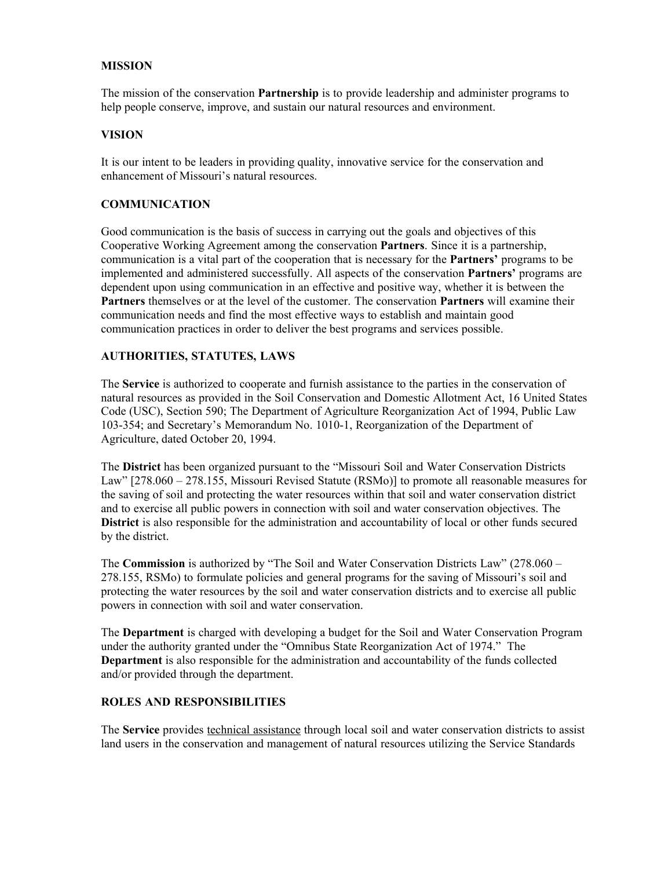# **MISSION**

The mission of the conservation **Partnership** is to provide leadership and administer programs to help people conserve, improve, and sustain our natural resources and environment.

# **VISION**

It is our intent to be leaders in providing quality, innovative service for the conservation and enhancement of Missouri's natural resources.

# **COMMUNICATION**

Good communication is the basis of success in carrying out the goals and objectives of this Cooperative Working Agreement among the conservation **Partners**. Since it is a partnership, communication is a vital part of the cooperation that is necessary for the **Partners'** programs to be implemented and administered successfully. All aspects of the conservation **Partners'** programs are dependent upon using communication in an effective and positive way, whether it is between the **Partners** themselves or at the level of the customer. The conservation **Partners** will examine their communication needs and find the most effective ways to establish and maintain good communication practices in order to deliver the best programs and services possible.

# **AUTHORITIES, STATUTES, LAWS**

The **Service** is authorized to cooperate and furnish assistance to the parties in the conservation of natural resources as provided in the Soil Conservation and Domestic Allotment Act, 16 United States Code (USC), Section 590; The Department of Agriculture Reorganization Act of 1994, Public Law 103-354; and Secretary's Memorandum No. 1010-1, Reorganization of the Department of Agriculture, dated October 20, 1994.

The **District** has been organized pursuant to the "Missouri Soil and Water Conservation Districts Law" [278.060 – 278.155, Missouri Revised Statute (RSMo)] to promote all reasonable measures for the saving of soil and protecting the water resources within that soil and water conservation district and to exercise all public powers in connection with soil and water conservation objectives. The **District** is also responsible for the administration and accountability of local or other funds secured by the district.

The **Commission** is authorized by "The Soil and Water Conservation Districts Law" (278.060 – 278.155, RSMo) to formulate policies and general programs for the saving of Missouri's soil and protecting the water resources by the soil and water conservation districts and to exercise all public powers in connection with soil and water conservation.

The **Department** is charged with developing a budget for the Soil and Water Conservation Program under the authority granted under the "Omnibus State Reorganization Act of 1974." The **Department** is also responsible for the administration and accountability of the funds collected and/or provided through the department.

# **ROLES AND RESPONSIBILITIES**

The **Service** provides technical assistance through local soil and water conservation districts to assist land users in the conservation and management of natural resources utilizing the Service Standards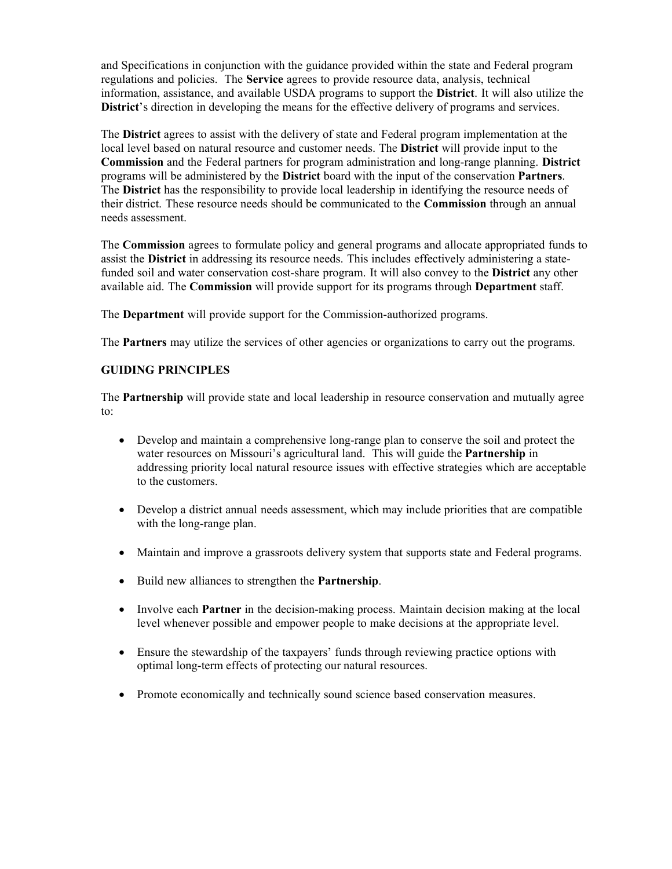and Specifications in conjunction with the guidance provided within the state and Federal program regulations and policies. The **Service** agrees to provide resource data, analysis, technical information, assistance, and available USDA programs to support the **District**. It will also utilize the **District**'s direction in developing the means for the effective delivery of programs and services.

The **District** agrees to assist with the delivery of state and Federal program implementation at the local level based on natural resource and customer needs. The **District** will provide input to the **Commission** and the Federal partners for program administration and long-range planning. **District**  programs will be administered by the **District** board with the input of the conservation **Partners**. The **District** has the responsibility to provide local leadership in identifying the resource needs of their district. These resource needs should be communicated to the **Commission** through an annual needs assessment.

The **Commission** agrees to formulate policy and general programs and allocate appropriated funds to assist the **District** in addressing its resource needs. This includes effectively administering a statefunded soil and water conservation cost-share program. It will also convey to the **District** any other available aid. The **Commission** will provide support for its programs through **Department** staff.

The **Department** will provide support for the Commission-authorized programs.

The **Partners** may utilize the services of other agencies or organizations to carry out the programs.

# **GUIDING PRINCIPLES**

The **Partnership** will provide state and local leadership in resource conservation and mutually agree to:

- Develop and maintain a comprehensive long-range plan to conserve the soil and protect the water resources on Missouri's agricultural land. This will guide the **Partnership** in addressing priority local natural resource issues with effective strategies which are acceptable to the customers.
- Develop a district annual needs assessment, which may include priorities that are compatible with the long-range plan.
- Maintain and improve a grassroots delivery system that supports state and Federal programs.
- Build new alliances to strengthen the **Partnership**.
- Involve each **Partner** in the decision-making process. Maintain decision making at the local level whenever possible and empower people to make decisions at the appropriate level.
- Ensure the stewardship of the taxpayers' funds through reviewing practice options with optimal long-term effects of protecting our natural resources.
- Promote economically and technically sound science based conservation measures.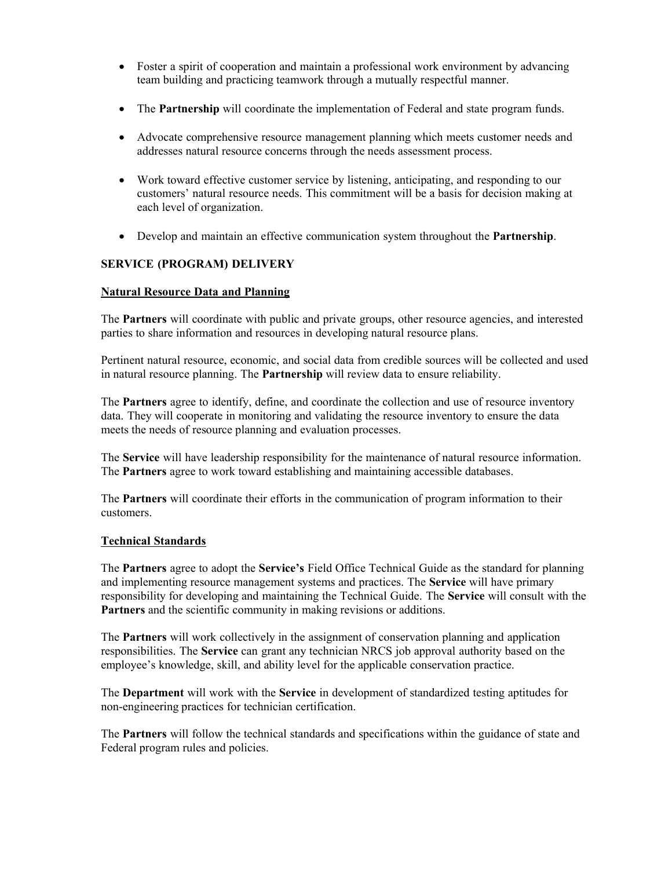- Foster a spirit of cooperation and maintain a professional work environment by advancing team building and practicing teamwork through a mutually respectful manner.
- The **Partnership** will coordinate the implementation of Federal and state program funds.
- Advocate comprehensive resource management planning which meets customer needs and addresses natural resource concerns through the needs assessment process.
- Work toward effective customer service by listening, anticipating, and responding to our customers' natural resource needs. This commitment will be a basis for decision making at each level of organization.
- Develop and maintain an effective communication system throughout the **Partnership**.

# **SERVICE (PROGRAM) DELIVERY**

# **Natural Resource Data and Planning**

The **Partners** will coordinate with public and private groups, other resource agencies, and interested parties to share information and resources in developing natural resource plans.

Pertinent natural resource, economic, and social data from credible sources will be collected and used in natural resource planning. The **Partnership** will review data to ensure reliability.

The **Partners** agree to identify, define, and coordinate the collection and use of resource inventory data. They will cooperate in monitoring and validating the resource inventory to ensure the data meets the needs of resource planning and evaluation processes.

The **Service** will have leadership responsibility for the maintenance of natural resource information. The **Partners** agree to work toward establishing and maintaining accessible databases.

The **Partners** will coordinate their efforts in the communication of program information to their customers.

# **Technical Standards**

The **Partners** agree to adopt the **Service's** Field Office Technical Guide as the standard for planning and implementing resource management systems and practices. The **Service** will have primary responsibility for developing and maintaining the Technical Guide. The **Service** will consult with the **Partners** and the scientific community in making revisions or additions.

The **Partners** will work collectively in the assignment of conservation planning and application responsibilities. The **Service** can grant any technician NRCS job approval authority based on the employee's knowledge, skill, and ability level for the applicable conservation practice.

The **Department** will work with the **Service** in development of standardized testing aptitudes for non-engineering practices for technician certification.

The **Partners** will follow the technical standards and specifications within the guidance of state and Federal program rules and policies.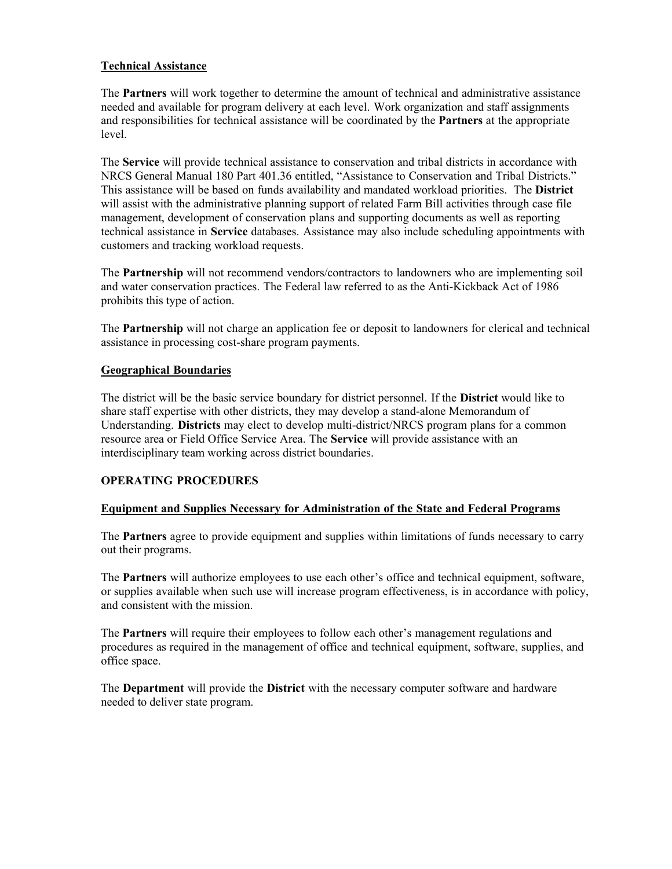# **Technical Assistance**

The **Partners** will work together to determine the amount of technical and administrative assistance needed and available for program delivery at each level. Work organization and staff assignments and responsibilities for technical assistance will be coordinated by the **Partners** at the appropriate level.

The **Service** will provide technical assistance to conservation and tribal districts in accordance with NRCS General Manual 180 Part 401.36 entitled, "Assistance to Conservation and Tribal Districts." This assistance will be based on funds availability and mandated workload priorities. The **District**  will assist with the administrative planning support of related Farm Bill activities through case file management, development of conservation plans and supporting documents as well as reporting technical assistance in **Service** databases. Assistance may also include scheduling appointments with customers and tracking workload requests.

The **Partnership** will not recommend vendors/contractors to landowners who are implementing soil and water conservation practices. The Federal law referred to as the Anti-Kickback Act of 1986 prohibits this type of action.

The **Partnership** will not charge an application fee or deposit to landowners for clerical and technical assistance in processing cost-share program payments.

# **Geographical Boundaries**

The district will be the basic service boundary for district personnel. If the **District** would like to share staff expertise with other districts, they may develop a stand-alone Memorandum of Understanding. **Districts** may elect to develop multi-district/NRCS program plans for a common resource area or Field Office Service Area. The **Service** will provide assistance with an interdisciplinary team working across district boundaries.

# **OPERATING PROCEDURES**

# **Equipment and Supplies Necessary for Administration of the State and Federal Programs**

The **Partners** agree to provide equipment and supplies within limitations of funds necessary to carry out their programs.

The **Partners** will authorize employees to use each other's office and technical equipment, software, or supplies available when such use will increase program effectiveness, is in accordance with policy, and consistent with the mission.

The **Partners** will require their employees to follow each other's management regulations and procedures as required in the management of office and technical equipment, software, supplies, and office space.

The **Department** will provide the **District** with the necessary computer software and hardware needed to deliver state program.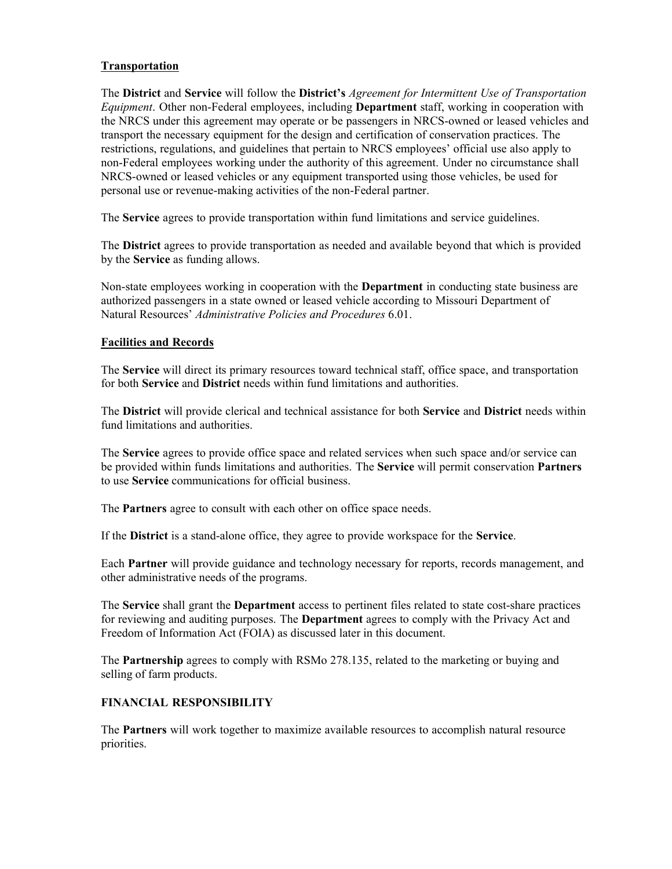# **Transportation**

The **District** and **Service** will follow the **District's** *Agreement for Intermittent Use of Transportation Equipment*. Other non-Federal employees, including **Department** staff, working in cooperation with the NRCS under this agreement may operate or be passengers in NRCS-owned or leased vehicles and transport the necessary equipment for the design and certification of conservation practices. The restrictions, regulations, and guidelines that pertain to NRCS employees' official use also apply to non-Federal employees working under the authority of this agreement. Under no circumstance shall NRCS-owned or leased vehicles or any equipment transported using those vehicles, be used for personal use or revenue-making activities of the non-Federal partner.

The **Service** agrees to provide transportation within fund limitations and service guidelines.

The **District** agrees to provide transportation as needed and available beyond that which is provided by the **Service** as funding allows.

Non-state employees working in cooperation with the **Department** in conducting state business are authorized passengers in a state owned or leased vehicle according to Missouri Department of Natural Resources' *Administrative Policies and Procedures* 6.01.

# **Facilities and Records**

The **Service** will direct its primary resources toward technical staff, office space, and transportation for both **Service** and **District** needs within fund limitations and authorities.

The **District** will provide clerical and technical assistance for both **Service** and **District** needs within fund limitations and authorities.

The **Service** agrees to provide office space and related services when such space and/or service can be provided within funds limitations and authorities. The **Service** will permit conservation **Partners**  to use **Service** communications for official business.

The **Partners** agree to consult with each other on office space needs.

If the **District** is a stand-alone office, they agree to provide workspace for the **Service**.

Each **Partner** will provide guidance and technology necessary for reports, records management, and other administrative needs of the programs.

The **Service** shall grant the **Department** access to pertinent files related to state cost-share practices for reviewing and auditing purposes. The **Department** agrees to comply with the Privacy Act and Freedom of Information Act (FOIA) as discussed later in this document.

The **Partnership** agrees to comply with RSMo 278.135, related to the marketing or buying and selling of farm products.

# **FINANCIAL RESPONSIBILITY**

The **Partners** will work together to maximize available resources to accomplish natural resource priorities.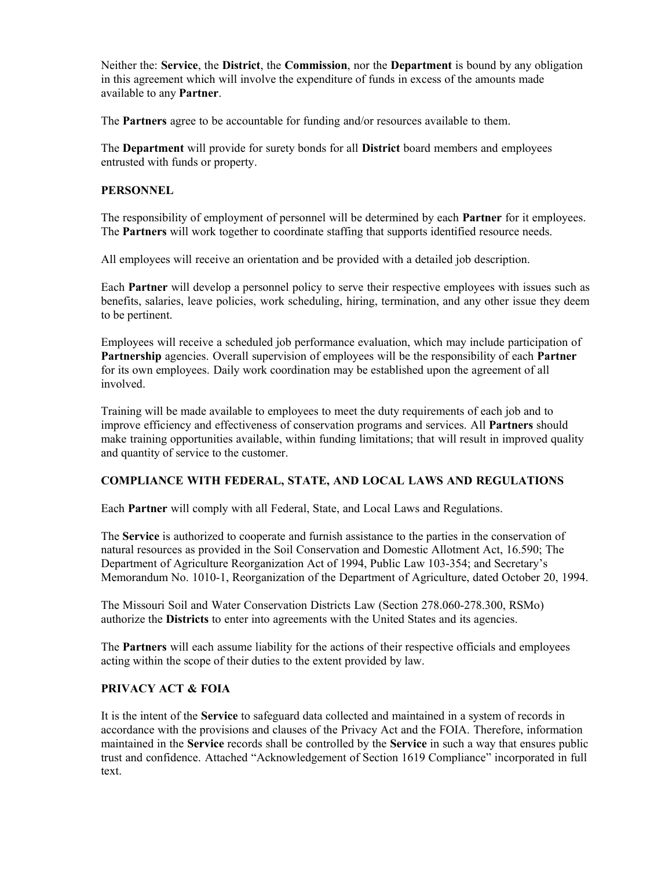Neither the: **Service**, the **District**, the **Commission**, nor the **Department** is bound by any obligation in this agreement which will involve the expenditure of funds in excess of the amounts made available to any **Partner**.

The **Partners** agree to be accountable for funding and/or resources available to them.

The **Department** will provide for surety bonds for all **District** board members and employees entrusted with funds or property.

# **PERSONNEL**

The responsibility of employment of personnel will be determined by each **Partner** for it employees. The **Partners** will work together to coordinate staffing that supports identified resource needs.

All employees will receive an orientation and be provided with a detailed job description.

Each **Partner** will develop a personnel policy to serve their respective employees with issues such as benefits, salaries, leave policies, work scheduling, hiring, termination, and any other issue they deem to be pertinent.

Employees will receive a scheduled job performance evaluation, which may include participation of **Partnership** agencies. Overall supervision of employees will be the responsibility of each **Partner**  for its own employees. Daily work coordination may be established upon the agreement of all involved.

Training will be made available to employees to meet the duty requirements of each job and to improve efficiency and effectiveness of conservation programs and services. All **Partners** should make training opportunities available, within funding limitations; that will result in improved quality and quantity of service to the customer.

# **COMPLIANCE WITH FEDERAL, STATE, AND LOCAL LAWS AND REGULATIONS**

Each **Partner** will comply with all Federal, State, and Local Laws and Regulations.

The **Service** is authorized to cooperate and furnish assistance to the parties in the conservation of natural resources as provided in the Soil Conservation and Domestic Allotment Act, 16.590; The Department of Agriculture Reorganization Act of 1994, Public Law 103-354; and Secretary's Memorandum No. 1010-1, Reorganization of the Department of Agriculture, dated October 20, 1994.

The Missouri Soil and Water Conservation Districts Law (Section 278.060-278.300, RSMo) authorize the **Districts** to enter into agreements with the United States and its agencies.

The **Partners** will each assume liability for the actions of their respective officials and employees acting within the scope of their duties to the extent provided by law.

# **PRIVACY ACT & FOIA**

It is the intent of the **Service** to safeguard data collected and maintained in a system of records in accordance with the provisions and clauses of the Privacy Act and the FOIA. Therefore, information maintained in the **Service** records shall be controlled by the **Service** in such a way that ensures public trust and confidence. Attached "Acknowledgement of Section 1619 Compliance" incorporated in full text.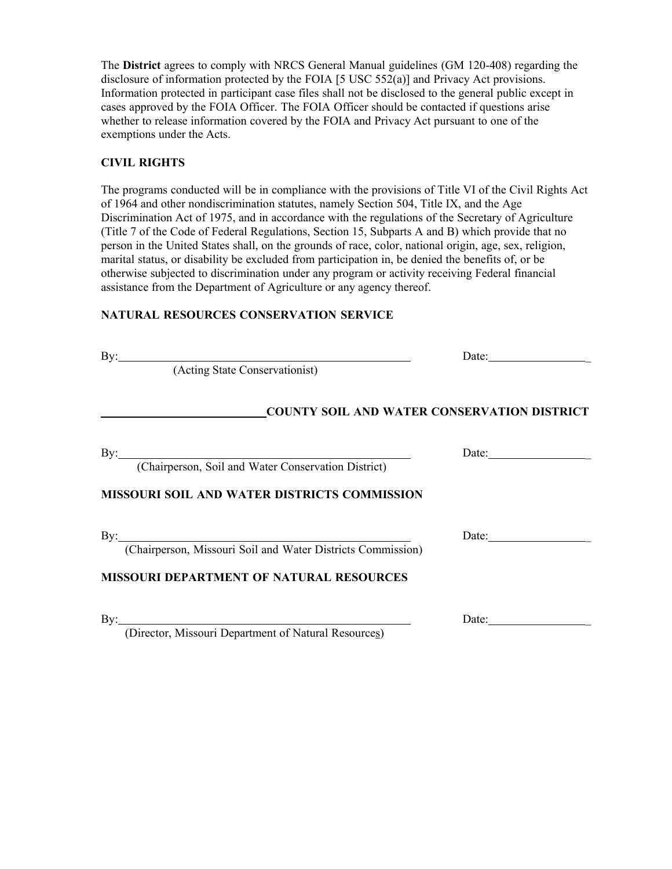The **District** agrees to comply with NRCS General Manual guidelines (GM 120-408) regarding the disclosure of information protected by the FOIA [5 USC 552(a)] and Privacy Act provisions. Information protected in participant case files shall not be disclosed to the general public except in cases approved by the FOIA Officer. The FOIA Officer should be contacted if questions arise whether to release information covered by the FOIA and Privacy Act pursuant to one of the exemptions under the Acts.

# **CIVIL RIGHTS**

The programs conducted will be in compliance with the provisions of Title VI of the Civil Rights Act of 1964 and other nondiscrimination statutes, namely Section 504, Title IX, and the Age Discrimination Act of 1975, and in accordance with the regulations of the Secretary of Agriculture (Title 7 of the Code of Federal Regulations, Section 15, Subparts A and B) which provide that no person in the United States shall, on the grounds of race, color, national origin, age, sex, religion, marital status, or disability be excluded from participation in, be denied the benefits of, or be otherwise subjected to discrimination under any program or activity receiving Federal financial assistance from the Department of Agriculture or any agency thereof.

# **NATURAL RESOURCES CONSERVATION SERVICE**

| By: |                                                                            | Date: $\frac{1}{\sqrt{1-\frac{1}{2}} \cdot \frac{1}{2}}$ |
|-----|----------------------------------------------------------------------------|----------------------------------------------------------|
|     | (Acting State Conservationist)                                             |                                                          |
|     | <b>COUNTY SOIL AND WATER CONSERVATION DISTRICT</b>                         |                                                          |
|     | By: $\qquad \qquad$<br>(Chairperson, Soil and Water Conservation District) | Date: $\frac{1}{\sqrt{1-\frac{1}{2}} \cdot \frac{1}{2}}$ |
|     | <b>MISSOURI SOIL AND WATER DISTRICTS COMMISSION</b>                        |                                                          |
|     | (Chairperson, Missouri Soil and Water Districts Commission)                | Date: $\qquad \qquad \qquad$                             |
|     | <b>MISSOURI DEPARTMENT OF NATURAL RESOURCES</b>                            |                                                          |

Date:

| ۹ |  |
|---|--|
|   |  |

(Director, Missouri Department of Natural Resources)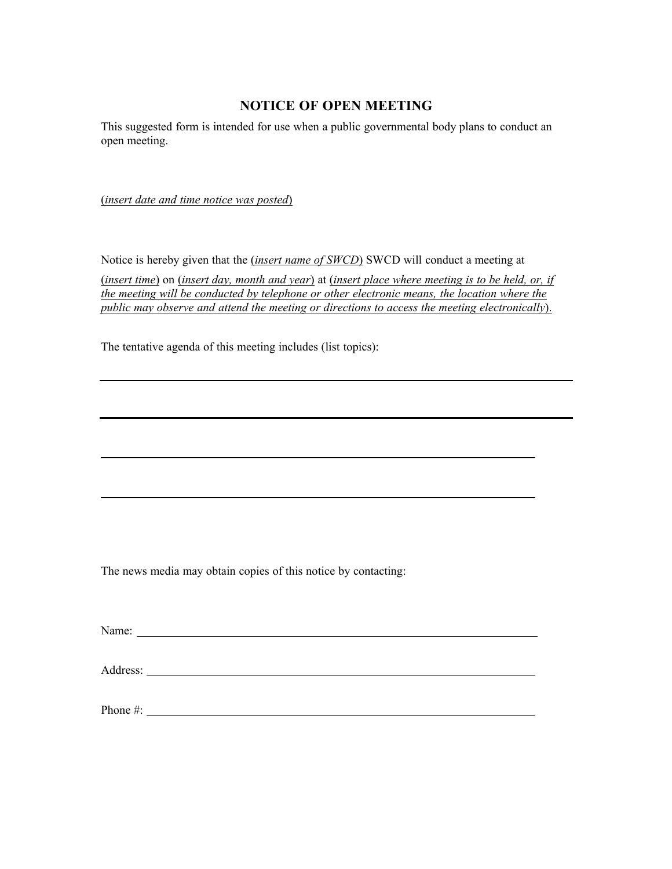# **NOTICE OF OPEN MEETING**

This suggested form is intended for use when a public governmental body plans to conduct an open meeting.

(*insert date and time notice was posted*)

Notice is hereby given that the (*insert name of SWCD*) SWCD will conduct a meeting at (*insert time*) on (*insert day, month and year*) at (*insert place where meeting is to be held, or, if the meeting will be conducted by telephone or other electronic means, the location where the public may observe and attend the meeting or directions to access the meeting electronically*).

The tentative agenda of this meeting includes (list topics):

The news media may obtain copies of this notice by contacting:

Name: with the contract of the contract of the contract of the contract of the contract of the contract of the contract of the contract of the contract of the contract of the contract of the contract of the contract of the

Address: The Community of the Community of the Community of the Community of the Community of the Community of the Community of the Community of the Community of the Community of the Community of the Community of the Commu

Phone #: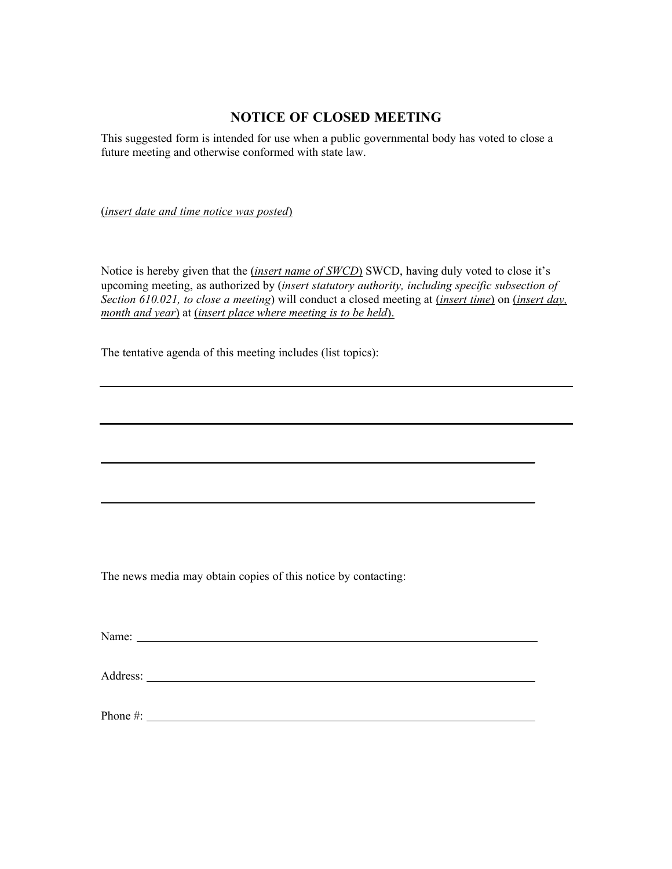# **NOTICE OF CLOSED MEETING**

This suggested form is intended for use when a public governmental body has voted to close a future meeting and otherwise conformed with state law.

(*insert date and time notice was posted*)

Notice is hereby given that the (*insert name of SWCD*) SWCD, having duly voted to close it's upcoming meeting, as authorized by (*insert statutory authority, including specific subsection of Section 610.021, to close a meeting*) will conduct a closed meeting at (*insert time*) on (*insert day, month and year*) at (*insert place where meeting is to be held*).

The tentative agenda of this meeting includes (list topics):

The news media may obtain copies of this notice by contacting:

Name:

Address: <u>Quarterior Communication</u>

Phone #: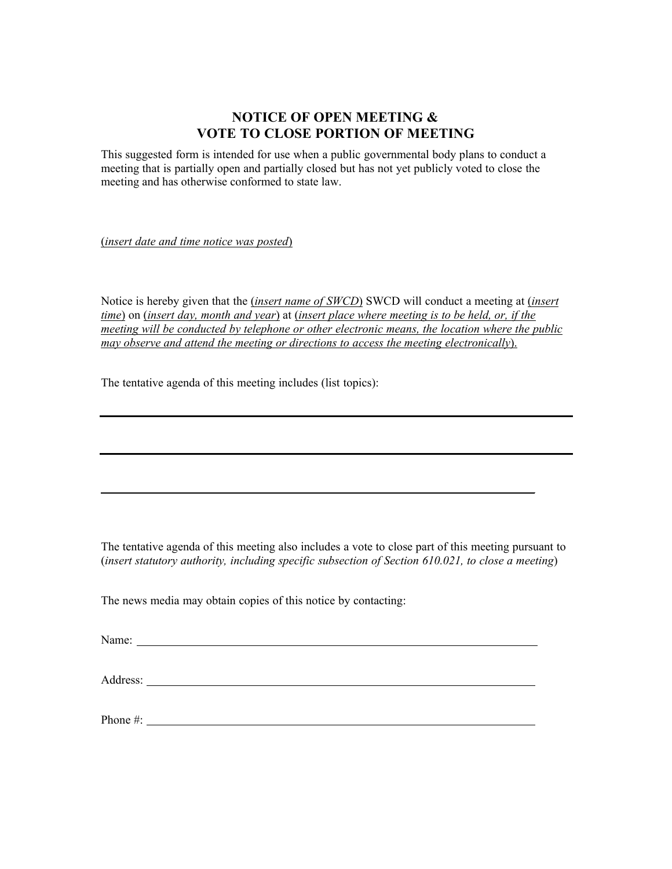# **NOTICE OF OPEN MEETING & VOTE TO CLOSE PORTION OF MEETING**

This suggested form is intended for use when a public governmental body plans to conduct a meeting that is partially open and partially closed but has not yet publicly voted to close the meeting and has otherwise conformed to state law.

(*insert date and time notice was posted*)

Notice is hereby given that the (*insert name of SWCD*) SWCD will conduct a meeting at (*insert time*) on (*insert day, month and year*) at (*insert place where meeting is to be held, or, if the meeting will be conducted by telephone or other electronic means, the location where the public may observe and attend the meeting or directions to access the meeting electronically*).

The tentative agenda of this meeting includes (list topics):

The tentative agenda of this meeting also includes a vote to close part of this meeting pursuant to (*insert statutory authority, including specific subsection of Section 610.021, to close a meeting*)

The news media may obtain copies of this notice by contacting:

| <b>NT</b><br>Name:<br>------ |  |  |  |
|------------------------------|--|--|--|
|                              |  |  |  |

Address:

Phone #: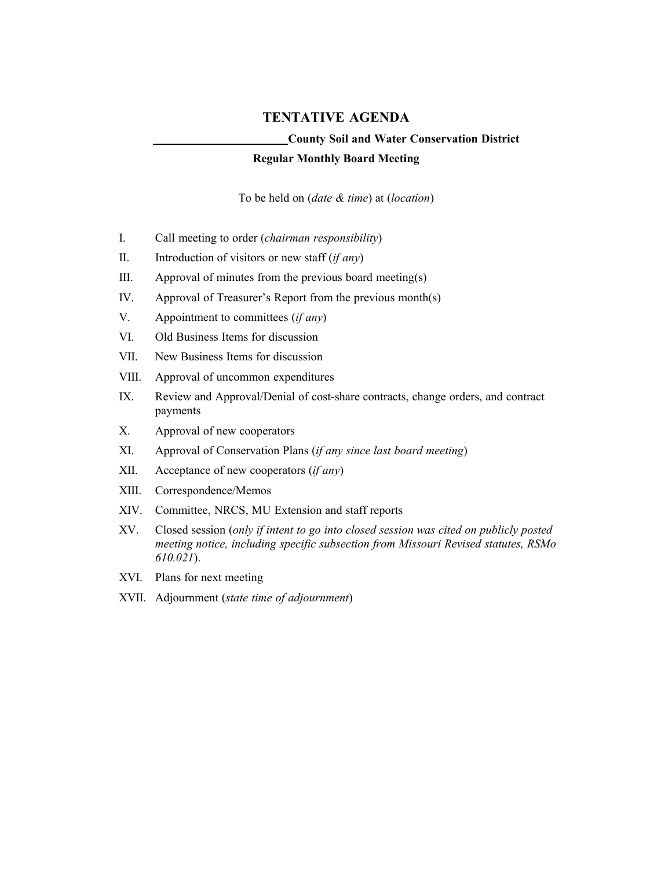# **TENTATIVE AGENDA**

## **County Soil and Water Conservation District**

### **Regular Monthly Board Meeting**

To be held on (*date & time*) at (*location*)

- I. Call meeting to order (*chairman responsibility*)
- II. Introduction of visitors or new staff (*if any*)
- III. Approval of minutes from the previous board meeting(s)
- IV. Approval of Treasurer's Report from the previous month(s)
- V. Appointment to committees (*if any*)
- VI. Old Business Items for discussion
- VII. New Business Items for discussion
- VIII. Approval of uncommon expenditures
- IX. Review and Approval/Denial of cost-share contracts, change orders, and contract payments
- X. Approval of new cooperators
- XI. Approval of Conservation Plans (*if any since last board meeting*)
- XII. Acceptance of new cooperators (*if any*)
- XIII. Correspondence/Memos
- XIV. Committee, NRCS, MU Extension and staff reports
- XV. Closed session (*only if intent to go into closed session was cited on publicly posted meeting notice, including specific subsection from Missouri Revised statutes, RSMo 610.021*).
- XVI. Plans for next meeting
- XVII. Adjournment (*state time of adjournment*)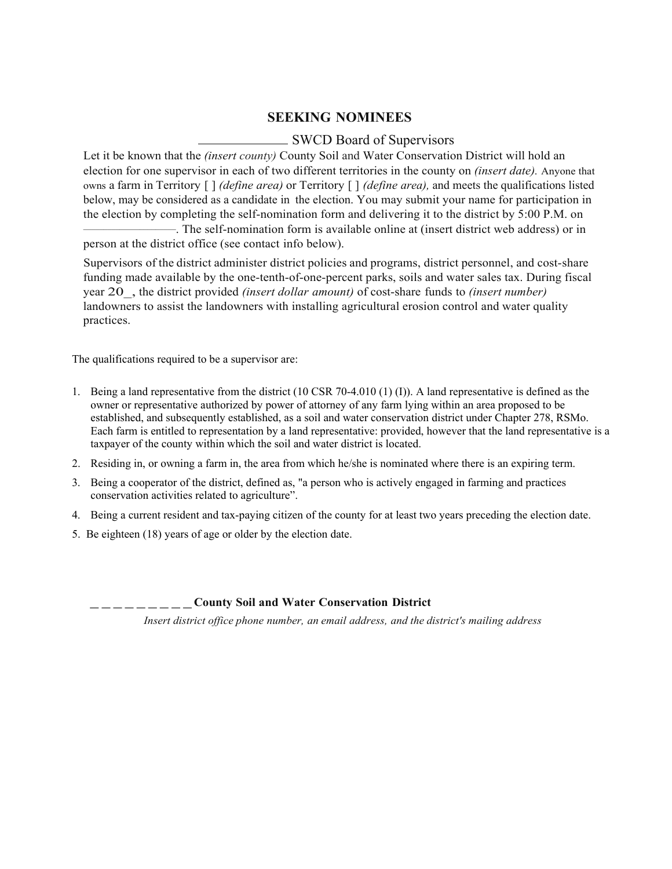# **SEEKING NOMINEES**

# SWCD Board of Supervisors

Let it be known that the *(insert county)* County Soil and Water Conservation District will hold an election for one supervisor in each of two different territories in the county on *(insert date).* Anyone that owns a farm in Territory [ ] *(define area)* or Territory [ ] *(define area),* and meets the qualifications listed below, may be considered as a candidate in the election. You may submit your name for participation in the election by completing the self-nomination form and delivering it to the district by 5:00 P.M. on  $\frac{1}{2}$  ,  $\frac{1}{2}$  ,  $\frac{1}{2}$  ,  $\frac{1}{2}$  ,  $\frac{1}{2}$  ,  $\frac{1}{2}$  ,  $\frac{1}{2}$  ,  $\frac{1}{2}$  ,  $\frac{1}{2}$  ,  $\frac{1}{2}$  ,  $\frac{1}{2}$  ,  $\frac{1}{2}$  ,  $\frac{1}{2}$  ,  $\frac{1}{2}$  ,  $\frac{1}{2}$  ,  $\frac{1}{2}$  ,  $\frac{1}{2}$  ,  $\frac{1}{2}$  ,  $\frac{1$ . The self-nomination form is available online at (insert district web address) or in

person at the district office (see contact info below).

Supervisors of the district administer district policies and programs, district personnel, and cost- share funding made available by the one-tenth-of-one-percent parks, soils and water sales tax. During fiscal year 20\_, the district provided *(insert dollar amount)* of cost-share funds to *(insert number)*  landowners to assist the landowners with installing agricultural erosion control and water quality practices.

The qualifications required to be a supervisor are:

- 1. Being a land representative from the district (10 CSR 70-4.010 (1) (I)). A land representative is defined as the owner or representative authorized by power of attorney of any farm lying within an area proposed to be established, and subsequently established, as a soil and water conservation district under Chapter 278, RSMo. Each farm is entitled to representation by a land representative: provided, however that the land representative is a taxpayer of the county within which the soil and water district is located.
- 2. Residing in, or owning a farm in, the area from which he/she is nominated where there is an expiring term.
- 3. Being a cooperator of the district, defined as, "a person who is actively engaged in farming and practices conservation activities related to agriculture".
- 4. Being a current resident and tax-paying citizen of the county for at least two years preceding the election date.
- 5. Be eighteen (18) years of age or older by the election date.

---------**County Soil and Water Conservation District**

*Insert district office phone number, an email address, and the district's mailing address*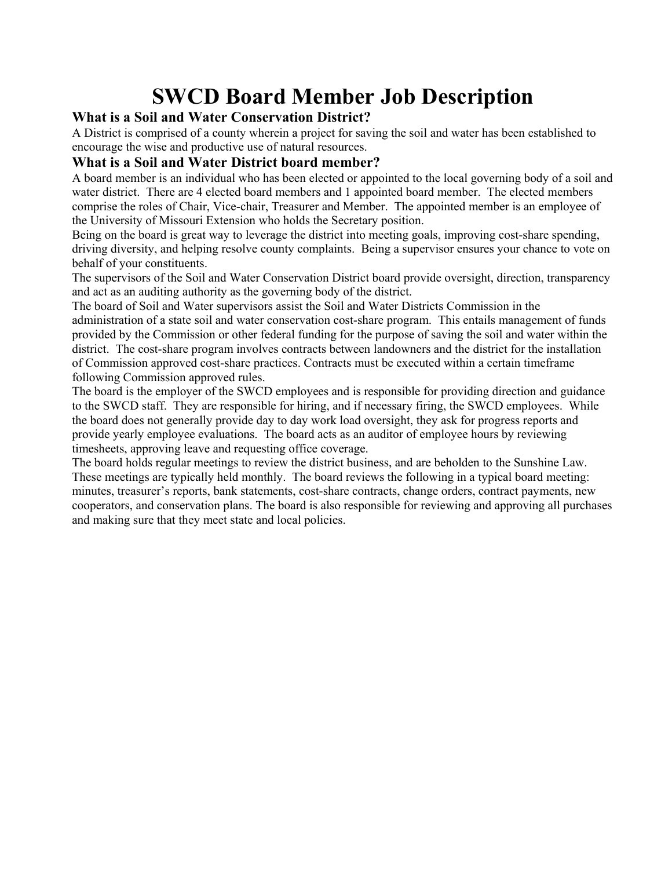# **SWCD Board Member Job Description**

# **What is a Soil and Water Conservation District?**

A District is comprised of a county wherein a project for saving the soil and water has been established to encourage the wise and productive use of natural resources.

# **What is a Soil and Water District board member?**

A board member is an individual who has been elected or appointed to the local governing body of a soil and water district. There are 4 elected board members and 1 appointed board member. The elected members comprise the roles of Chair, Vice-chair, Treasurer and Member. The appointed member is an employee of the University of Missouri Extension who holds the Secretary position.

Being on the board is great way to leverage the district into meeting goals, improving cost-share spending, driving diversity, and helping resolve county complaints. Being a supervisor ensures your chance to vote on behalf of your constituents.

The supervisors of the Soil and Water Conservation District board provide oversight, direction, transparency and act as an auditing authority as the governing body of the district.

The board of Soil and Water supervisors assist the Soil and Water Districts Commission in the administration of a state soil and water conservation cost-share program. This entails management of funds provided by the Commission or other federal funding for the purpose of saving the soil and water within the district. The cost-share program involves contracts between landowners and the district for the installation of Commission approved cost-share practices. Contracts must be executed within a certain timeframe following Commission approved rules.

The board is the employer of the SWCD employees and is responsible for providing direction and guidance to the SWCD staff. They are responsible for hiring, and if necessary firing, the SWCD employees. While the board does not generally provide day to day work load oversight, they ask for progress reports and provide yearly employee evaluations. The board acts as an auditor of employee hours by reviewing timesheets, approving leave and requesting office coverage.

The board holds regular meetings to review the district business, and are beholden to the Sunshine Law. These meetings are typically held monthly. The board reviews the following in a typical board meeting: minutes, treasurer's reports, bank statements, cost-share contracts, change orders, contract payments, new cooperators, and conservation plans. The board is also responsible for reviewing and approving all purchases and making sure that they meet state and local policies.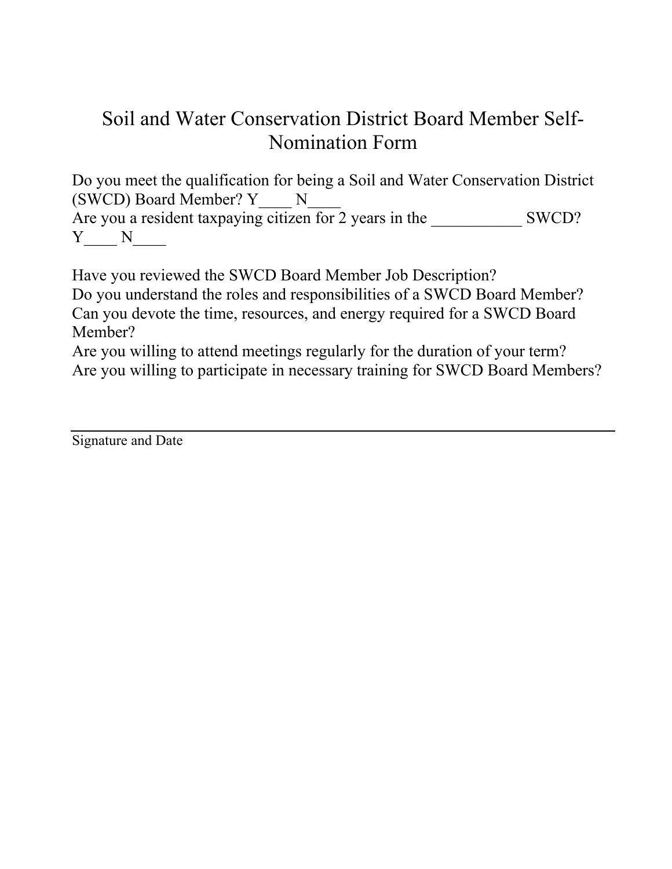# Soil and Water Conservation District Board Member Self-Nomination Form

Do you meet the qualification for being a Soil and Water Conservation District (SWCD) Board Member? Y\_\_\_\_ N\_\_\_\_

Are you a resident taxpaying citizen for 2 years in the SWCD? Y N

Have you reviewed the SWCD Board Member Job Description?

Do you understand the roles and responsibilities of a SWCD Board Member? Can you devote the time, resources, and energy required for a SWCD Board Member?

Are you willing to attend meetings regularly for the duration of your term? Are you willing to participate in necessary training for SWCD Board Members?

Signature and Date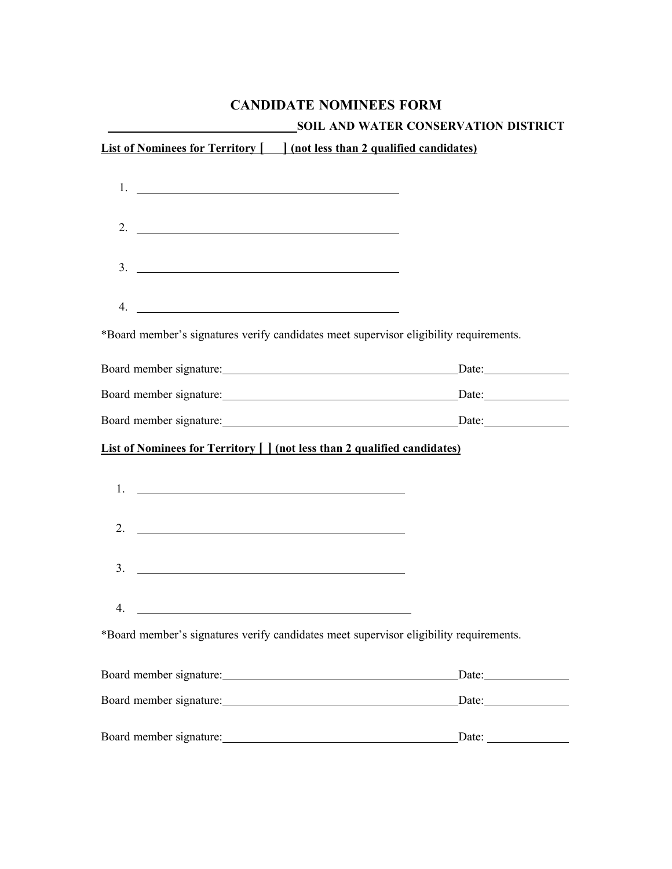# **CANDIDATE NOMINEES FORM**

**SOIL AND WATER CONSERVATION DISTRICT** 

**List of Nominees for Territory [ ] (not less than 2 qualified candidates)** 

| 3.                                                                                     |       |
|----------------------------------------------------------------------------------------|-------|
|                                                                                        |       |
| <u> 1989 - Johann John Stein, markin f</u><br>4.                                       |       |
| *Board member's signatures verify candidates meet supervisor eligibility requirements. |       |
| Board member signature: Date: Date:                                                    |       |
| Board member signature: Date: Date:                                                    |       |
| Board member signature: Date: Date: Date:                                              |       |
| $1.$ $\blacksquare$<br><u> 1980 - Johann Barnett, fransk politik (d. 1980)</u><br>2.   |       |
| 3.<br><u> 1989 - Johann Barn, fransk politik formuler (d. 1989)</u>                    |       |
| <u> 1989 - Johann Stein, marwolaethau (b. 1989)</u><br>4.                              |       |
| *Board member's signatures verify candidates meet supervisor eligibility requirements. |       |
| Board member signature: Date: Date:                                                    |       |
| Board member signature: Date: Date:                                                    |       |
| Board member signature:                                                                | Date: |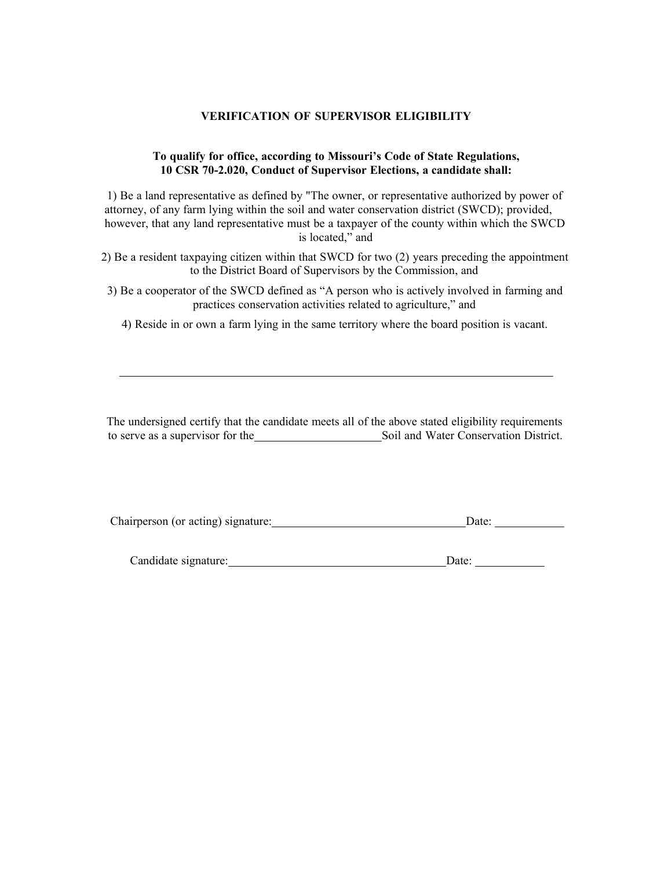# **VERIFICATION OF SUPERVISOR ELIGIBILITY**

# **To qualify for office, according to Missouri's Code of State Regulations, 10 CSR 70-2.020, Conduct of Supervisor Elections, a candidate shall:**

1) Be a land representative as defined by "The owner, or representative authorized by power of attorney, of any farm lying within the soil and water conservation district (SWCD); provided, however, that any land representative must be a taxpayer of the county within which the SWCD is located," and

- 2) Be a resident taxpaying citizen within that SWCD for two (2) years preceding the appointment to the District Board of Supervisors by the Commission, and
- 3) Be a cooperator of the SWCD defined as "A person who is actively involved in farming and practices conservation activities related to agriculture," and

4) Reside in or own a farm lying in the same territory where the board position is vacant.

The undersigned certify that the candidate meets all of the above stated eligibility requirements to serve as a supervisor for the Soil and Water Conservation District.

Chairperson (or acting) signature: Date:

| Candidate signature: | Jate: |
|----------------------|-------|
|----------------------|-------|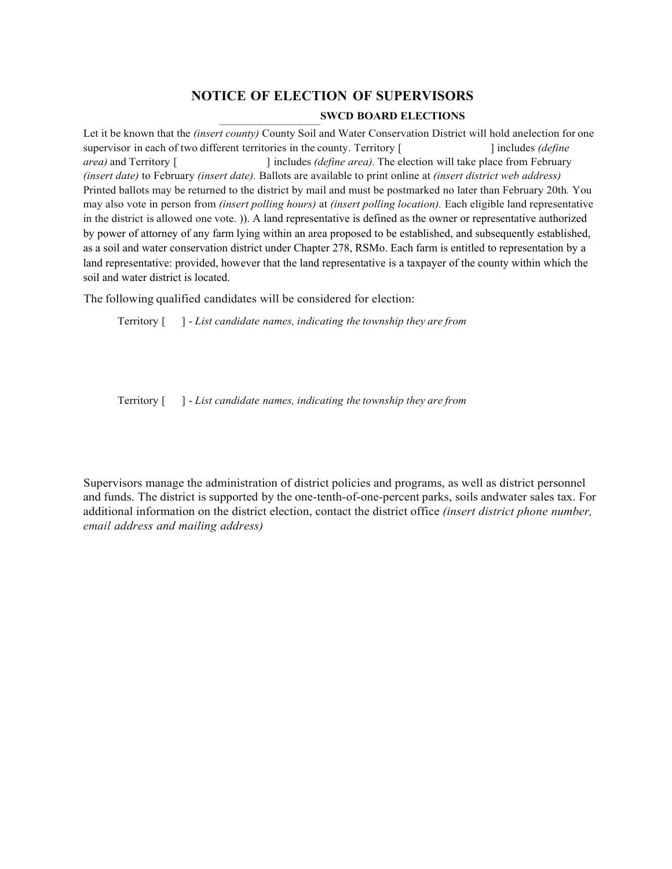# **NOTICE OF ELECTION OF SUPERVISORS** \_\_\_\_\_**SWCD BOARD ELECTIONS**

Let it be known that the *(insert county)* County Soil and Water Conservation District will hold an election for one supervisor in each of two different territories in the county. Territory [ ] includes *(define area)* and Territory [ ] includes *(define area).* The election will take place from February *(insert date)* to February *(insert date).* Ballots are available to print online at *(insert district web address)*  Printed ballots may be returned to the district by mail and must be postmarked no later than February 20th*.* You may also vote in person from *(insert polling hours)* at *(insert polling location).* Each eligible land representative in the district is allowed one vote. )). A land representative is defined as the owner or representative authorized by power of attorney of any farm lying within an area proposed to be established, and subsequently established, as a soil and water conservation district under Chapter 278, RSMo. Each farm is entitled to representation by a land representative: provided, however that the land representative is a taxpayer of the county within which the soil and water district is located.

The following qualified candidates will be considered for election:

Territory [ ] - *List candidate names, indicating the township they are from*

Territory [ ] - *List candidate names, indicating the township they are from*

Supervisors manage the administration of district policies and programs, as well as district personnel and funds. The district is supported by the one-tenth-of-one-percent parks, soils and water sales tax. For additional information on the district election, contact the district office *(insert district phone number, email address and mailing address)*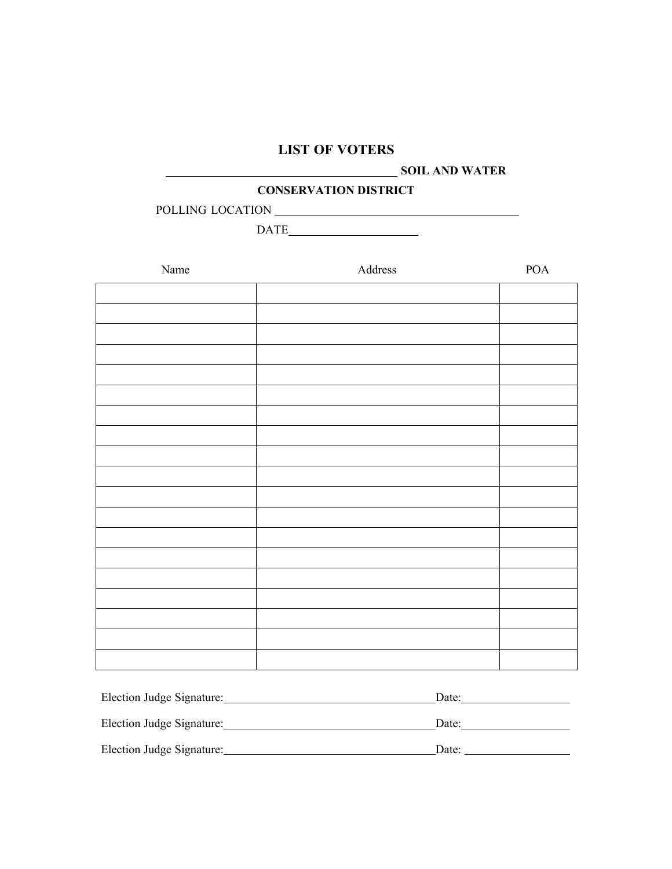# **LIST OF VOTERS**

**SOIL AND WATER** 

**CONSERVATION DISTRICT** 

POLLING LOCATION

DATE

| Name | $\operatorname{\sf Address}$ | $\rm POA$ |
|------|------------------------------|-----------|
|      |                              |           |
|      |                              |           |
|      |                              |           |
|      |                              |           |
|      |                              |           |
|      |                              |           |
|      |                              |           |
|      |                              |           |
|      |                              |           |
|      |                              |           |
|      |                              |           |
|      |                              |           |
|      |                              |           |
|      |                              |           |
|      |                              |           |
|      |                              |           |
|      |                              |           |
|      |                              |           |
|      |                              |           |

| Election Judge Signature: | Date: |
|---------------------------|-------|
| Election Judge Signature: | Date: |
| Election Judge Signature: | Date: |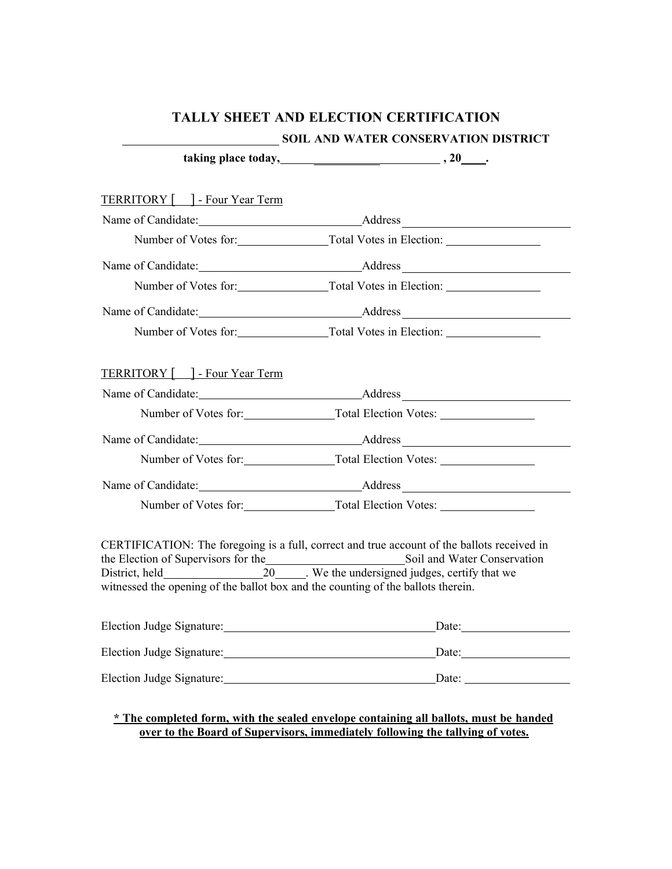# **TALLY SHEET AND ELECTION CERTIFICATION SOIL AND WATER CONSERVATION DISTRICT**

taking place today, 1.20 .

TERRITORY  $\lceil \quad \rceil$  - Four Year Term Name of Candidate: Address Number of Votes for: Total Votes in Election: Name of Candidate: Address Number of Votes for: Total Votes in Election: Name of Candidate: Address Number of Votes for: Total Votes in Election: TERRITORY [ ] - Four Year Term Name of Candidate: Address Number of Votes for: Total Election Votes: Name of Candidate: Address Number of Votes for: Total Election Votes: Name of Candidate: Address Number of Votes for: Total Election Votes: CERTIFICATION: The foregoing is a full, correct and true account of the ballots received in the Election of Supervisors for the Soil and Water Conservation District, held 20 . We the undersigned judges, certify that we witnessed the opening of the ballot box and the counting of the ballots therein. Election Judge Signature: Date: Date: Date: Election Judge Signature: Date: Date: Date: Election Judge Signature: Date:

# **\* The completed form, with the sealed envelope containing all ballots, must be handed over to the Board of Supervisors, immediately following the tallying of votes.**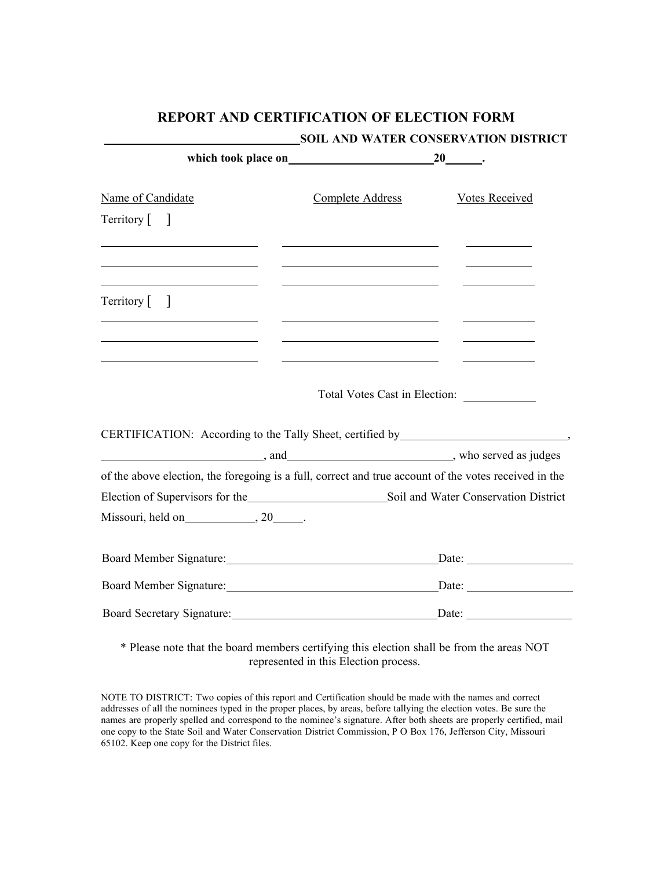|                                                                                                            | SOIL AND WATER CONSERVATION DISTRICT                                                                                                                   |                |
|------------------------------------------------------------------------------------------------------------|--------------------------------------------------------------------------------------------------------------------------------------------------------|----------------|
|                                                                                                            |                                                                                                                                                        |                |
| Name of Candidate                                                                                          | Complete Address                                                                                                                                       | Votes Received |
| Territory $\begin{bmatrix} \phantom{-} \end{bmatrix}$                                                      |                                                                                                                                                        |                |
|                                                                                                            | <u> 1980 - Andrea Andrew Maria (h. 1980).</u>                                                                                                          |                |
| the control of the control of the control of the control of the control of the control of<br>Territory [ ] | <u> 1989 - Andrea Andrew Maria (b. 1989)</u>                                                                                                           |                |
|                                                                                                            | <u> Alexandro de la contrada de la contrada de la contrada de la contrada de la contrada de la contrada de la co</u>                                   |                |
| <u> 1989 - Johann Stein, mars an deus an deus Amerikaansk kommunister (</u>                                | <u> 1990 - Johann Stein, mars an deus an deus an deus an deus an deus an deus an deus an deus an deus an deus an </u><br>Total Votes Cast in Election: |                |
| CERTIFICATION: According to the Tally Sheet, certified by________________________,                         |                                                                                                                                                        |                |
| of the above election, the foregoing is a full, correct and true account of the votes received in the      |                                                                                                                                                        |                |
| Election of Supervisors for the Soil and Water Conservation District                                       |                                                                                                                                                        |                |
| Missouri, held on________________, 20_______.                                                              |                                                                                                                                                        |                |
| Board Member Signature: Management of Member Signature:                                                    |                                                                                                                                                        |                |
|                                                                                                            |                                                                                                                                                        |                |
|                                                                                                            |                                                                                                                                                        |                |

# **REPORT AND CERTIFICATION OF ELECTION FORM SOIL AND WATER CONSERVATION DISTRICT**

\* Please note that the board members certifying this election shall be from the areas NOT represented in this Election process.

NOTE TO DISTRICT: Two copies of this report and Certification should be made with the names and correct addresses of all the nominees typed in the proper places, by areas, before tallying the election votes. Be sure the names are properly spelled and correspond to the nominee's signature. After both sheets are properly certified, mail one copy to the State Soil and Water Conservation District Commission, P O Box 176, Jefferson City, Missouri 65102. Keep one copy for the District files.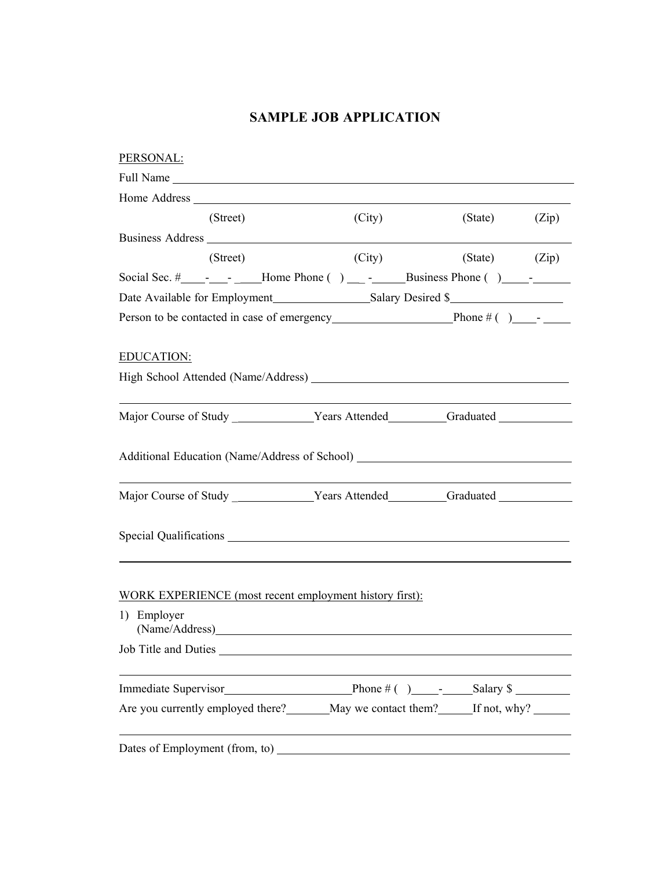# **SAMPLE JOB APPLICATION**

| PERSONAL:                           |          |                                                                                  |         |       |
|-------------------------------------|----------|----------------------------------------------------------------------------------|---------|-------|
|                                     |          |                                                                                  |         |       |
|                                     |          |                                                                                  |         |       |
|                                     | (Street) | (City)                                                                           | (State) | (Zip) |
|                                     |          |                                                                                  |         |       |
|                                     | (Street) | (City)                                                                           | (State) | (Zip) |
|                                     |          |                                                                                  |         |       |
|                                     |          |                                                                                  |         |       |
|                                     |          |                                                                                  |         |       |
| <b>EDUCATION:</b>                   |          |                                                                                  |         |       |
|                                     |          | Major Course of Study ______________Years Attended_________Graduated ___________ |         |       |
|                                     |          | Additional Education (Name/Address of School) __________________________________ |         |       |
|                                     |          | Major Course of Study ______________Years Attended________Graduated ____________ |         |       |
|                                     |          |                                                                                  |         |       |
| 1) Employer<br>Job Title and Duties |          | WORK EXPERIENCE (most recent employment history first):                          |         |       |
|                                     |          |                                                                                  |         |       |
|                                     |          |                                                                                  |         |       |
|                                     |          | Are you currently employed there? May we contact them? If not, why?              |         |       |
|                                     |          |                                                                                  |         |       |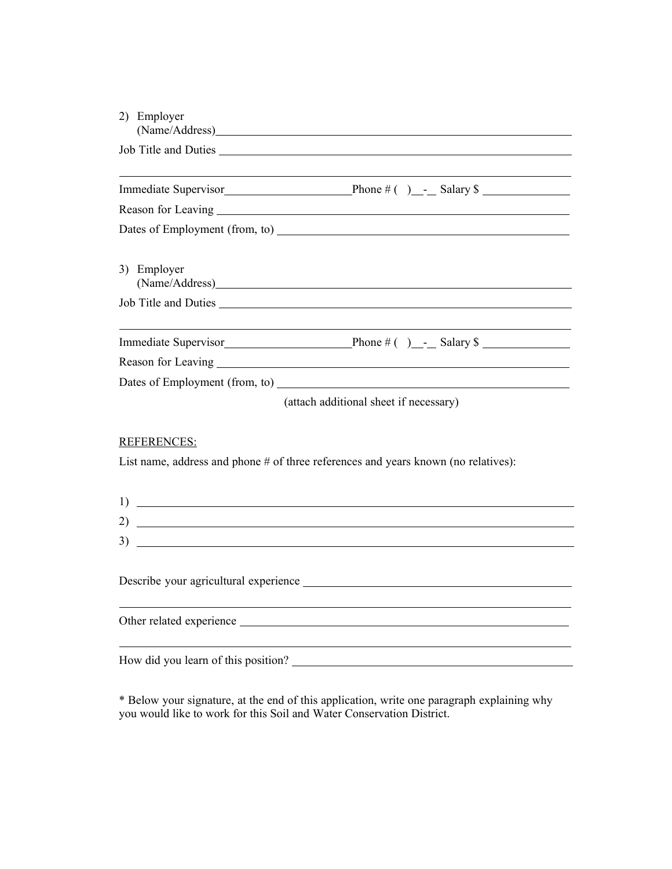| 2) Employer                                                                        |
|------------------------------------------------------------------------------------|
| Job Title and Duties                                                               |
|                                                                                    |
|                                                                                    |
|                                                                                    |
| 3) Employer                                                                        |
| Job Title and Duties                                                               |
|                                                                                    |
|                                                                                    |
| Dates of Employment (from, to)                                                     |
| (attach additional sheet if necessary)                                             |
| REFERENCES:                                                                        |
| List name, address and phone # of three references and years known (no relatives): |
| $\left  \begin{array}{ccc} 1 \end{array} \right $                                  |
|                                                                                    |
|                                                                                    |
|                                                                                    |
|                                                                                    |

How did you learn of this position?

\* Below your signature, at the end of this application, write one paragraph explaining why you would like to work for this Soil and Water Conservation District.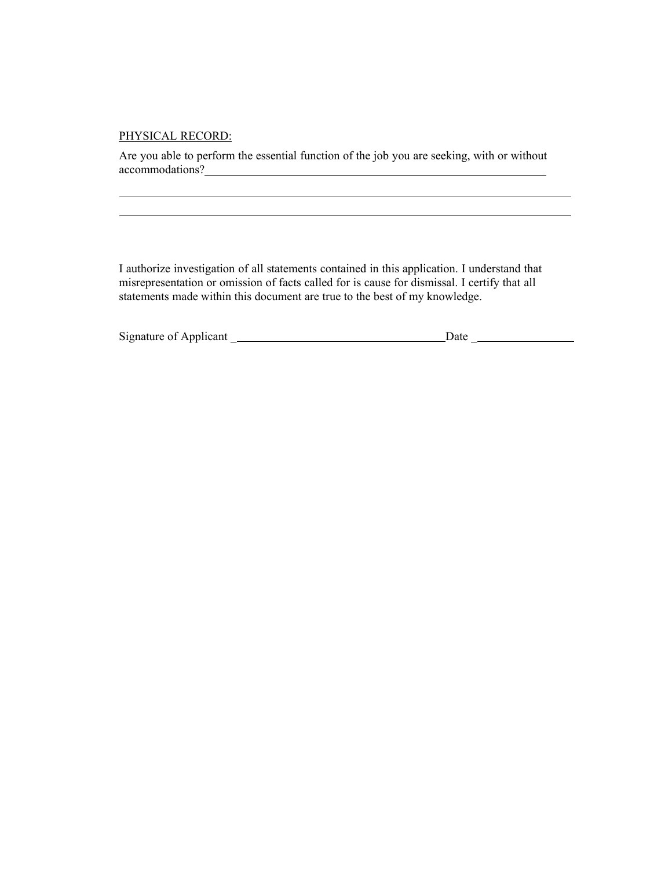# PHYSICAL RECORD:

Are you able to perform the essential function of the job you are seeking, with or without accommodations?

I authorize investigation of all statements contained in this application. I understand that misrepresentation or omission of facts called for is cause for dismissal. I certify that all statements made within this document are true to the best of my knowledge.

|  | Signature of Applicant | Jate |
|--|------------------------|------|
|--|------------------------|------|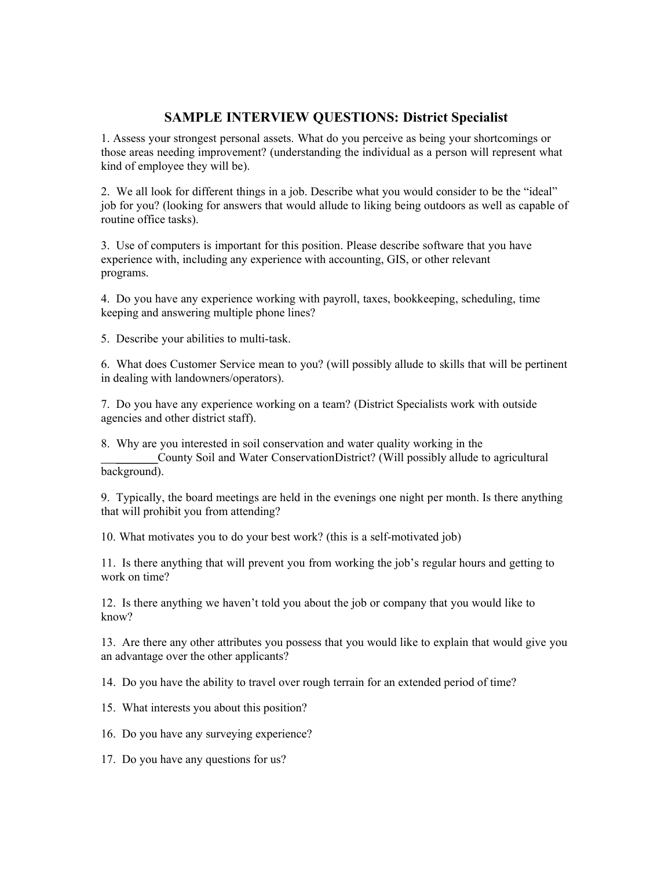# **SAMPLE INTERVIEW QUESTIONS: District Specialist**

1. Assess your strongest personal assets. What do you perceive as being your shortcomings or those areas needing improvement? (understanding the individual as a person will represent what kind of employee they will be).

2. We all look for different things in a job. Describe what you would consider to be the "ideal" job for you? (looking for answers that would allude to liking being outdoors as well as capable of routine office tasks).

3. Use of computers is important for this position. Please describe software that you have experience with, including any experience with accounting, GIS, or other relevant programs.

4. Do you have any experience working with payroll, taxes, bookkeeping, scheduling, time keeping and answering multiple phone lines?

5. Describe your abilities to multi-task.

6. What does Customer Service mean to you? (will possibly allude to skills that will be pertinent in dealing with landowners/operators).

7. Do you have any experience working on a team? (District Specialists work with outside agencies and other district staff).

8. Why are you interested in soil conservation and water quality working in the \_\_\_\_\_\_\_County Soil and Water Conservation District? (Will possibly allude to agricultural background).

9. Typically, the board meetings are held in the evenings one night per month. Is there anything that will prohibit you from attending?

10. What motivates you to do your best work? (this is a self-motivated job)

11. Is there anything that will prevent you from working the job's regular hours and getting to work on time?

12. Is there anything we haven't told you about the job or company that you would like to know?

13. Are there any other attributes you possess that you would like to explain that would give you an advantage over the other applicants?

14. Do you have the ability to travel over rough terrain for an extended period of time?

15. What interests you about this position?

16. Do you have any surveying experience?

17. Do you have any questions for us?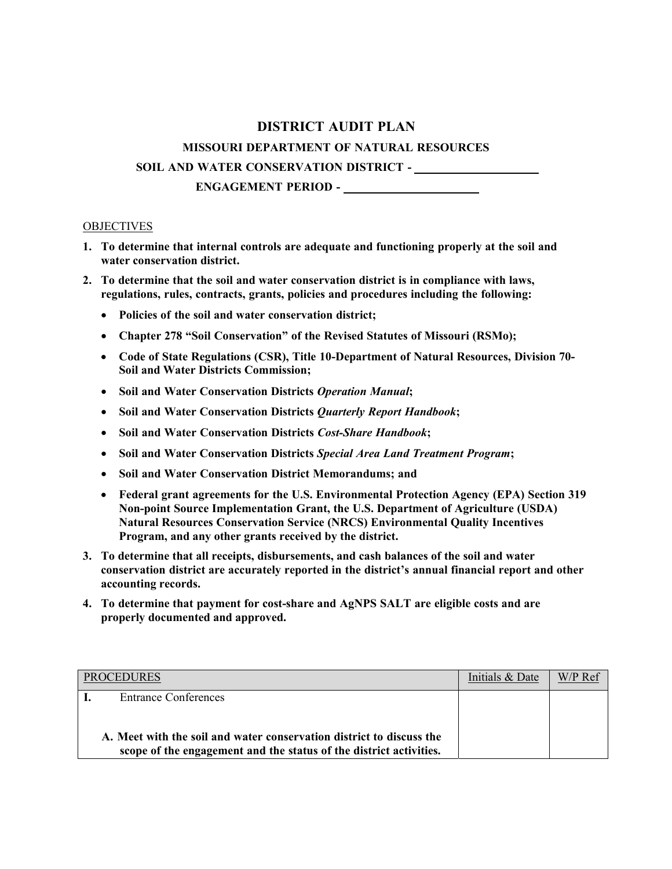# **DISTRICT AUDIT PLAN**

# **MISSOURI DEPARTMENT OF NATURAL RESOURCES**

**SOIL AND WATER CONSERVATION DISTRICT -** 

# **ENGAGEMENT PERIOD -**

# **OBJECTIVES**

- **1. To determine that internal controls are adequate and functioning properly at the soil and water conservation district.**
- **2. To determine that the soil and water conservation district is in compliance with laws, regulations, rules, contracts, grants, policies and procedures including the following:** 
	- **Policies of the soil and water conservation district;**
	- **Chapter 278 "Soil Conservation" of the Revised Statutes of Missouri (RSMo);**
	- **Code of State Regulations (CSR), Title 10-Department of Natural Resources, Division 70- Soil and Water Districts Commission;**
	- **Soil and Water Conservation Districts** *Operation Manual***;**
	- **Soil and Water Conservation Districts** *Quarterly Report Handbook***;**
	- **Soil and Water Conservation Districts** *Cost-Share Handbook***;**
	- **Soil and Water Conservation Districts** *Special Area Land Treatment Program***;**
	- **Soil and Water Conservation District Memorandums; and**
	- **Federal grant agreements for the U.S. Environmental Protection Agency (EPA) Section 319 Non-point Source Implementation Grant, the U.S. Department of Agriculture (USDA) Natural Resources Conservation Service (NRCS) Environmental Quality Incentives Program, and any other grants received by the district.**
- **3. To determine that all receipts, disbursements, and cash balances of the soil and water conservation district are accurately reported in the district's annual financial report and other accounting records.**
- **4. To determine that payment for cost-share and AgNPS SALT are eligible costs and are properly documented and approved.**

| <b>PROCEDURES</b> |                                                                                                                                            | Initials & Date | $W/P$ Ref |
|-------------------|--------------------------------------------------------------------------------------------------------------------------------------------|-----------------|-----------|
|                   | <b>Entrance Conferences</b>                                                                                                                |                 |           |
|                   | A. Meet with the soil and water conservation district to discuss the<br>scope of the engagement and the status of the district activities. |                 |           |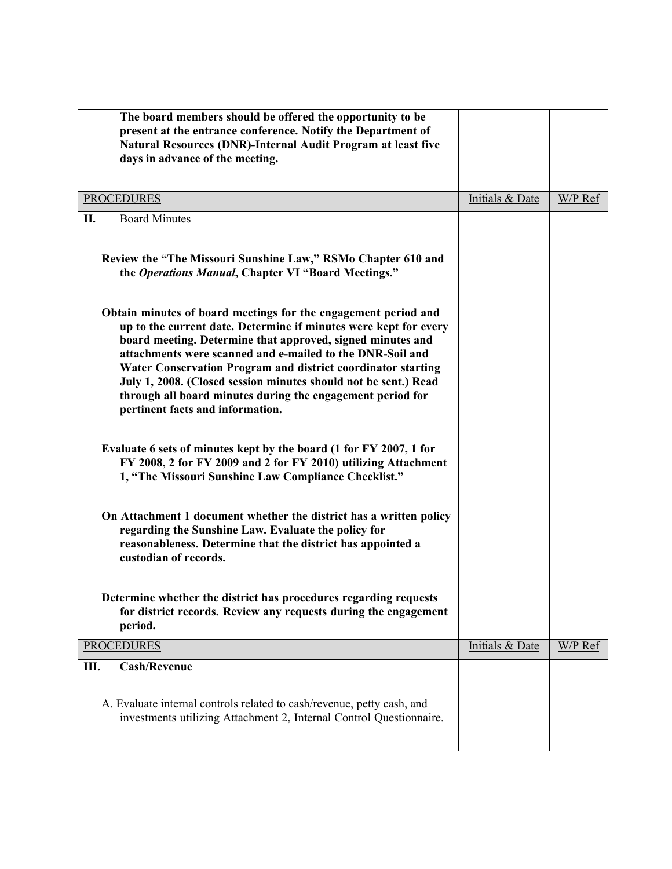|                                                                                                                                                                                                                                                                                                                                                                                                                                                                                                    | The board members should be offered the opportunity to be<br>present at the entrance conference. Notify the Department of<br>Natural Resources (DNR)-Internal Audit Program at least five<br>days in advance of the meeting. |                 |         |
|----------------------------------------------------------------------------------------------------------------------------------------------------------------------------------------------------------------------------------------------------------------------------------------------------------------------------------------------------------------------------------------------------------------------------------------------------------------------------------------------------|------------------------------------------------------------------------------------------------------------------------------------------------------------------------------------------------------------------------------|-----------------|---------|
|                                                                                                                                                                                                                                                                                                                                                                                                                                                                                                    | <b>PROCEDURES</b>                                                                                                                                                                                                            | Initials & Date | W/P Ref |
| П.                                                                                                                                                                                                                                                                                                                                                                                                                                                                                                 | <b>Board Minutes</b><br>Review the "The Missouri Sunshine Law," RSMo Chapter 610 and                                                                                                                                         |                 |         |
|                                                                                                                                                                                                                                                                                                                                                                                                                                                                                                    | the Operations Manual, Chapter VI "Board Meetings."                                                                                                                                                                          |                 |         |
| Obtain minutes of board meetings for the engagement period and<br>up to the current date. Determine if minutes were kept for every<br>board meeting. Determine that approved, signed minutes and<br>attachments were scanned and e-mailed to the DNR-Soil and<br>Water Conservation Program and district coordinator starting<br>July 1, 2008. (Closed session minutes should not be sent.) Read<br>through all board minutes during the engagement period for<br>pertinent facts and information. |                                                                                                                                                                                                                              |                 |         |
|                                                                                                                                                                                                                                                                                                                                                                                                                                                                                                    | Evaluate 6 sets of minutes kept by the board (1 for FY 2007, 1 for<br>FY 2008, 2 for FY 2009 and 2 for FY 2010) utilizing Attachment<br>1, "The Missouri Sunshine Law Compliance Checklist."                                 |                 |         |
|                                                                                                                                                                                                                                                                                                                                                                                                                                                                                                    | On Attachment 1 document whether the district has a written policy<br>regarding the Sunshine Law. Evaluate the policy for<br>reasonableness. Determine that the district has appointed a<br>custodian of records.            |                 |         |
|                                                                                                                                                                                                                                                                                                                                                                                                                                                                                                    | Determine whether the district has procedures regarding requests<br>for district records. Review any requests during the engagement<br>period.                                                                               |                 |         |
|                                                                                                                                                                                                                                                                                                                                                                                                                                                                                                    | <b>PROCEDURES</b>                                                                                                                                                                                                            | Initials & Date | W/P Ref |
| Ш.                                                                                                                                                                                                                                                                                                                                                                                                                                                                                                 | <b>Cash/Revenue</b><br>A. Evaluate internal controls related to cash/revenue, petty cash, and<br>investments utilizing Attachment 2, Internal Control Questionnaire.                                                         |                 |         |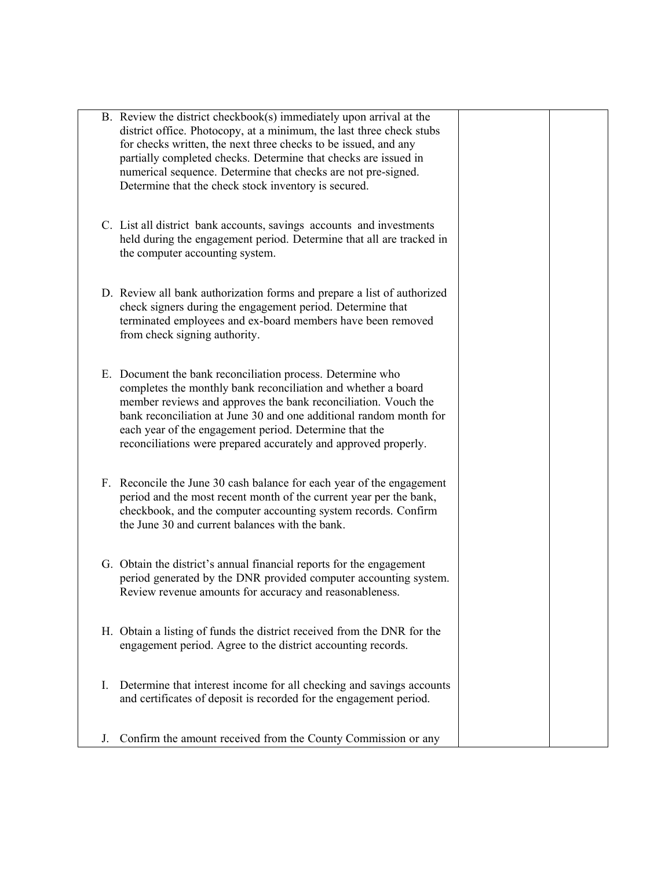|    | B. Review the district checkbook(s) immediately upon arrival at the<br>district office. Photocopy, at a minimum, the last three check stubs<br>for checks written, the next three checks to be issued, and any<br>partially completed checks. Determine that checks are issued in<br>numerical sequence. Determine that checks are not pre-signed.<br>Determine that the check stock inventory is secured. |  |
|----|------------------------------------------------------------------------------------------------------------------------------------------------------------------------------------------------------------------------------------------------------------------------------------------------------------------------------------------------------------------------------------------------------------|--|
|    | C. List all district bank accounts, savings accounts and investments<br>held during the engagement period. Determine that all are tracked in<br>the computer accounting system.                                                                                                                                                                                                                            |  |
|    | D. Review all bank authorization forms and prepare a list of authorized<br>check signers during the engagement period. Determine that<br>terminated employees and ex-board members have been removed<br>from check signing authority.                                                                                                                                                                      |  |
|    | E. Document the bank reconciliation process. Determine who<br>completes the monthly bank reconciliation and whether a board<br>member reviews and approves the bank reconciliation. Vouch the<br>bank reconciliation at June 30 and one additional random month for<br>each year of the engagement period. Determine that the<br>reconciliations were prepared accurately and approved properly.           |  |
|    | F. Reconcile the June 30 cash balance for each year of the engagement<br>period and the most recent month of the current year per the bank,<br>checkbook, and the computer accounting system records. Confirm<br>the June 30 and current balances with the bank.                                                                                                                                           |  |
|    | G. Obtain the district's annual financial reports for the engagement<br>period generated by the DNR provided computer accounting system.<br>Review revenue amounts for accuracy and reasonableness.                                                                                                                                                                                                        |  |
|    | H. Obtain a listing of funds the district received from the DNR for the<br>engagement period. Agree to the district accounting records.                                                                                                                                                                                                                                                                    |  |
| I. | Determine that interest income for all checking and savings accounts<br>and certificates of deposit is recorded for the engagement period.                                                                                                                                                                                                                                                                 |  |
| J. | Confirm the amount received from the County Commission or any                                                                                                                                                                                                                                                                                                                                              |  |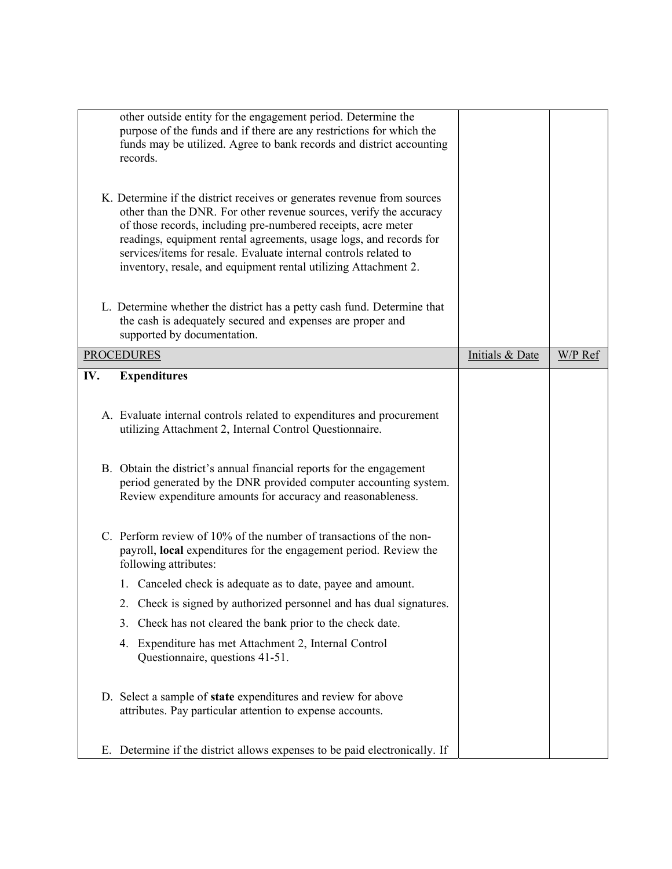|     | other outside entity for the engagement period. Determine the<br>purpose of the funds and if there are any restrictions for which the<br>funds may be utilized. Agree to bank records and district accounting<br>records.                                                                                                                                                                                                   |                 |           |
|-----|-----------------------------------------------------------------------------------------------------------------------------------------------------------------------------------------------------------------------------------------------------------------------------------------------------------------------------------------------------------------------------------------------------------------------------|-----------------|-----------|
|     | K. Determine if the district receives or generates revenue from sources<br>other than the DNR. For other revenue sources, verify the accuracy<br>of those records, including pre-numbered receipts, acre meter<br>readings, equipment rental agreements, usage logs, and records for<br>services/items for resale. Evaluate internal controls related to<br>inventory, resale, and equipment rental utilizing Attachment 2. |                 |           |
|     | L. Determine whether the district has a petty cash fund. Determine that<br>the cash is adequately secured and expenses are proper and<br>supported by documentation.                                                                                                                                                                                                                                                        |                 |           |
|     | <b>PROCEDURES</b>                                                                                                                                                                                                                                                                                                                                                                                                           | Initials & Date | $W/P$ Ref |
| IV. | <b>Expenditures</b><br>A. Evaluate internal controls related to expenditures and procurement<br>utilizing Attachment 2, Internal Control Questionnaire.<br>B. Obtain the district's annual financial reports for the engagement                                                                                                                                                                                             |                 |           |
|     | period generated by the DNR provided computer accounting system.<br>Review expenditure amounts for accuracy and reasonableness.<br>C. Perform review of 10% of the number of transactions of the non-                                                                                                                                                                                                                       |                 |           |
|     | payroll, local expenditures for the engagement period. Review the<br>following attributes:                                                                                                                                                                                                                                                                                                                                  |                 |           |
|     | 1. Canceled check is adequate as to date, payee and amount.                                                                                                                                                                                                                                                                                                                                                                 |                 |           |
|     | 2. Check is signed by authorized personnel and has dual signatures.                                                                                                                                                                                                                                                                                                                                                         |                 |           |
|     | Check has not cleared the bank prior to the check date.<br>3.                                                                                                                                                                                                                                                                                                                                                               |                 |           |
|     | 4. Expenditure has met Attachment 2, Internal Control<br>Questionnaire, questions 41-51.                                                                                                                                                                                                                                                                                                                                    |                 |           |
|     | D. Select a sample of state expenditures and review for above<br>attributes. Pay particular attention to expense accounts.                                                                                                                                                                                                                                                                                                  |                 |           |
|     | E. Determine if the district allows expenses to be paid electronically. If                                                                                                                                                                                                                                                                                                                                                  |                 |           |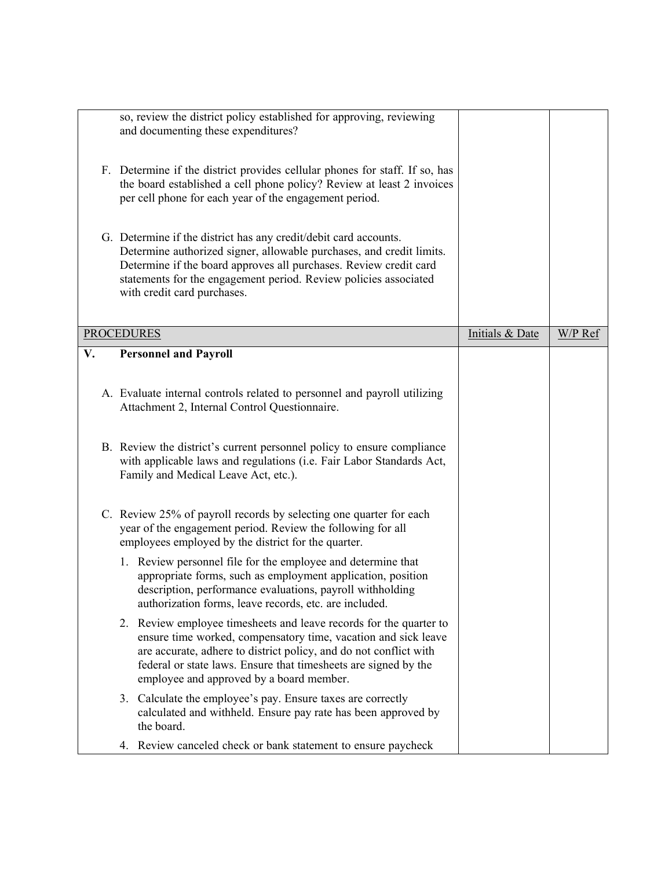|    | so, review the district policy established for approving, reviewing<br>and documenting these expenditures?                                                                                                                                                                                                               |                 |         |
|----|--------------------------------------------------------------------------------------------------------------------------------------------------------------------------------------------------------------------------------------------------------------------------------------------------------------------------|-----------------|---------|
|    | F. Determine if the district provides cellular phones for staff. If so, has<br>the board established a cell phone policy? Review at least 2 invoices<br>per cell phone for each year of the engagement period.                                                                                                           |                 |         |
|    | G. Determine if the district has any credit/debit card accounts.<br>Determine authorized signer, allowable purchases, and credit limits.<br>Determine if the board approves all purchases. Review credit card<br>statements for the engagement period. Review policies associated<br>with credit card purchases.         |                 |         |
|    | <b>PROCEDURES</b>                                                                                                                                                                                                                                                                                                        | Initials & Date | W/P Ref |
| V. | <b>Personnel and Payroll</b>                                                                                                                                                                                                                                                                                             |                 |         |
|    | A. Evaluate internal controls related to personnel and payroll utilizing<br>Attachment 2, Internal Control Questionnaire.<br>B. Review the district's current personnel policy to ensure compliance<br>with applicable laws and regulations (i.e. Fair Labor Standards Act,                                              |                 |         |
|    | Family and Medical Leave Act, etc.).<br>C. Review 25% of payroll records by selecting one quarter for each<br>year of the engagement period. Review the following for all<br>employees employed by the district for the quarter.                                                                                         |                 |         |
|    | 1. Review personnel file for the employee and determine that<br>appropriate forms, such as employment application, position<br>description, performance evaluations, payroll withholding<br>authorization forms, leave records, etc. are included.                                                                       |                 |         |
|    | 2. Review employee timesheets and leave records for the quarter to<br>ensure time worked, compensatory time, vacation and sick leave<br>are accurate, adhere to district policy, and do not conflict with<br>federal or state laws. Ensure that timesheets are signed by the<br>employee and approved by a board member. |                 |         |
|    | 3. Calculate the employee's pay. Ensure taxes are correctly<br>calculated and withheld. Ensure pay rate has been approved by<br>the board.                                                                                                                                                                               |                 |         |
|    | 4. Review canceled check or bank statement to ensure paycheck                                                                                                                                                                                                                                                            |                 |         |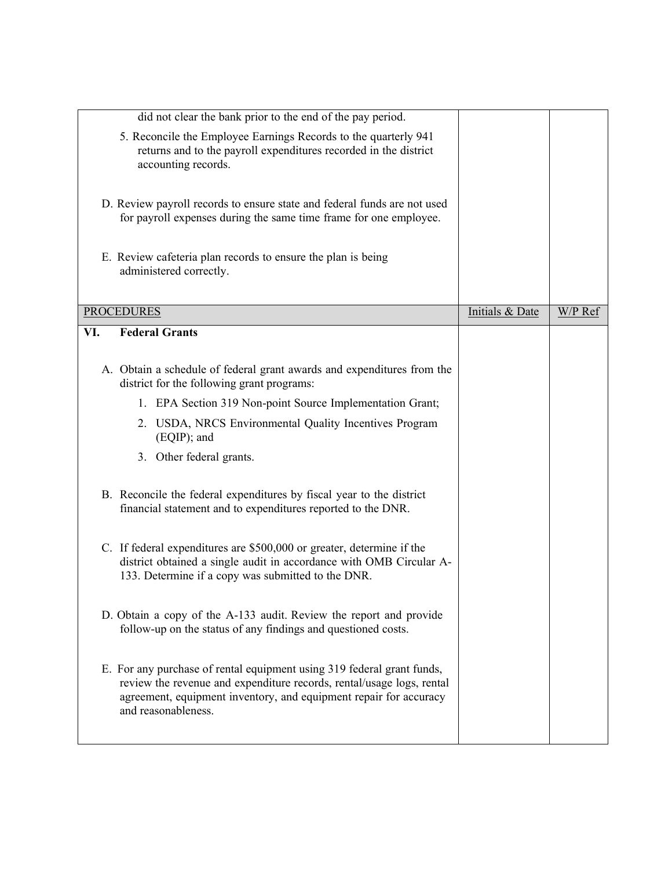| did not clear the bank prior to the end of the pay period.                                                                                                                                                                                  |                 |         |
|---------------------------------------------------------------------------------------------------------------------------------------------------------------------------------------------------------------------------------------------|-----------------|---------|
| 5. Reconcile the Employee Earnings Records to the quarterly 941<br>returns and to the payroll expenditures recorded in the district<br>accounting records.                                                                                  |                 |         |
| D. Review payroll records to ensure state and federal funds are not used<br>for payroll expenses during the same time frame for one employee.                                                                                               |                 |         |
| E. Review cafeteria plan records to ensure the plan is being<br>administered correctly.                                                                                                                                                     |                 |         |
| <b>PROCEDURES</b>                                                                                                                                                                                                                           | Initials & Date | W/P Ref |
| <b>Federal Grants</b><br>VI.                                                                                                                                                                                                                |                 |         |
| A. Obtain a schedule of federal grant awards and expenditures from the<br>district for the following grant programs:                                                                                                                        |                 |         |
| 1. EPA Section 319 Non-point Source Implementation Grant;                                                                                                                                                                                   |                 |         |
| 2. USDA, NRCS Environmental Quality Incentives Program<br>(EQIP); and                                                                                                                                                                       |                 |         |
| 3. Other federal grants.                                                                                                                                                                                                                    |                 |         |
| B. Reconcile the federal expenditures by fiscal year to the district<br>financial statement and to expenditures reported to the DNR.                                                                                                        |                 |         |
| C. If federal expenditures are \$500,000 or greater, determine if the<br>district obtained a single audit in accordance with OMB Circular A-<br>133. Determine if a copy was submitted to the DNR.                                          |                 |         |
| D. Obtain a copy of the A-133 audit. Review the report and provide<br>follow-up on the status of any findings and questioned costs.                                                                                                         |                 |         |
| E. For any purchase of rental equipment using 319 federal grant funds,<br>review the revenue and expenditure records, rental/usage logs, rental<br>agreement, equipment inventory, and equipment repair for accuracy<br>and reasonableness. |                 |         |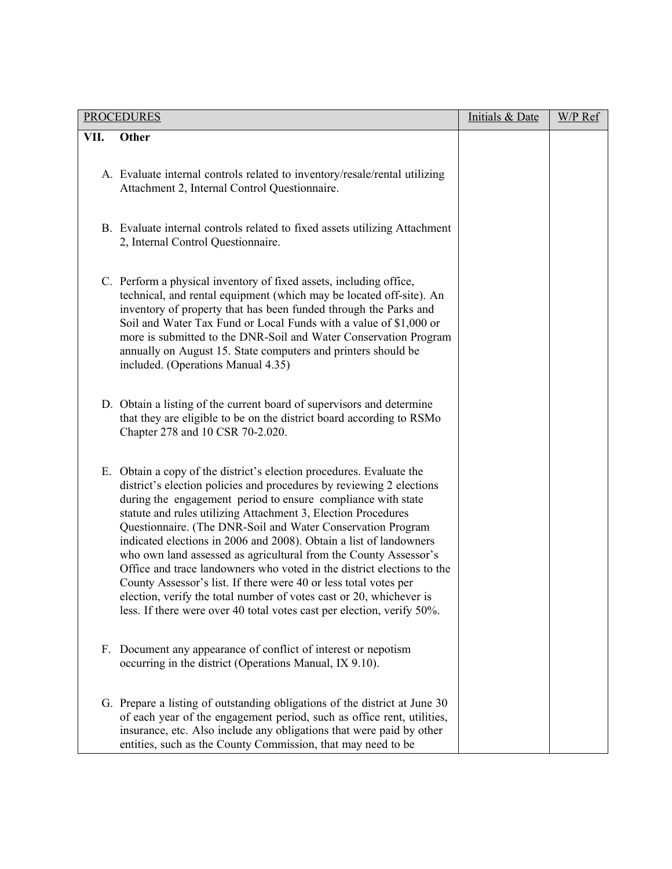|      | <b>PROCEDURES</b>                                                                                                                                                                                                                                                                                                                                                                                                                                                                                                                                                                                                                                                                                                                                                                     | Initials & Date | W/P Ref |
|------|---------------------------------------------------------------------------------------------------------------------------------------------------------------------------------------------------------------------------------------------------------------------------------------------------------------------------------------------------------------------------------------------------------------------------------------------------------------------------------------------------------------------------------------------------------------------------------------------------------------------------------------------------------------------------------------------------------------------------------------------------------------------------------------|-----------------|---------|
| VII. | Other                                                                                                                                                                                                                                                                                                                                                                                                                                                                                                                                                                                                                                                                                                                                                                                 |                 |         |
|      | A. Evaluate internal controls related to inventory/resale/rental utilizing<br>Attachment 2, Internal Control Questionnaire.                                                                                                                                                                                                                                                                                                                                                                                                                                                                                                                                                                                                                                                           |                 |         |
|      | B. Evaluate internal controls related to fixed assets utilizing Attachment<br>2, Internal Control Questionnaire.                                                                                                                                                                                                                                                                                                                                                                                                                                                                                                                                                                                                                                                                      |                 |         |
|      | C. Perform a physical inventory of fixed assets, including office,<br>technical, and rental equipment (which may be located off-site). An<br>inventory of property that has been funded through the Parks and<br>Soil and Water Tax Fund or Local Funds with a value of \$1,000 or<br>more is submitted to the DNR-Soil and Water Conservation Program<br>annually on August 15. State computers and printers should be<br>included. (Operations Manual 4.35)                                                                                                                                                                                                                                                                                                                         |                 |         |
|      | D. Obtain a listing of the current board of supervisors and determine<br>that they are eligible to be on the district board according to RSMo<br>Chapter 278 and 10 CSR 70-2.020.                                                                                                                                                                                                                                                                                                                                                                                                                                                                                                                                                                                                     |                 |         |
|      | E. Obtain a copy of the district's election procedures. Evaluate the<br>district's election policies and procedures by reviewing 2 elections<br>during the engagement period to ensure compliance with state<br>statute and rules utilizing Attachment 3, Election Procedures<br>Questionnaire. (The DNR-Soil and Water Conservation Program<br>indicated elections in 2006 and 2008). Obtain a list of landowners<br>who own land assessed as agricultural from the County Assessor's<br>Office and trace landowners who voted in the district elections to the<br>County Assessor's list. If there were 40 or less total votes per<br>election, verify the total number of votes cast or 20, whichever is<br>less. If there were over 40 total votes cast per election, verify 50%. |                 |         |
|      | F. Document any appearance of conflict of interest or nepotism<br>occurring in the district (Operations Manual, IX 9.10).                                                                                                                                                                                                                                                                                                                                                                                                                                                                                                                                                                                                                                                             |                 |         |
|      | G. Prepare a listing of outstanding obligations of the district at June 30<br>of each year of the engagement period, such as office rent, utilities,<br>insurance, etc. Also include any obligations that were paid by other<br>entities, such as the County Commission, that may need to be                                                                                                                                                                                                                                                                                                                                                                                                                                                                                          |                 |         |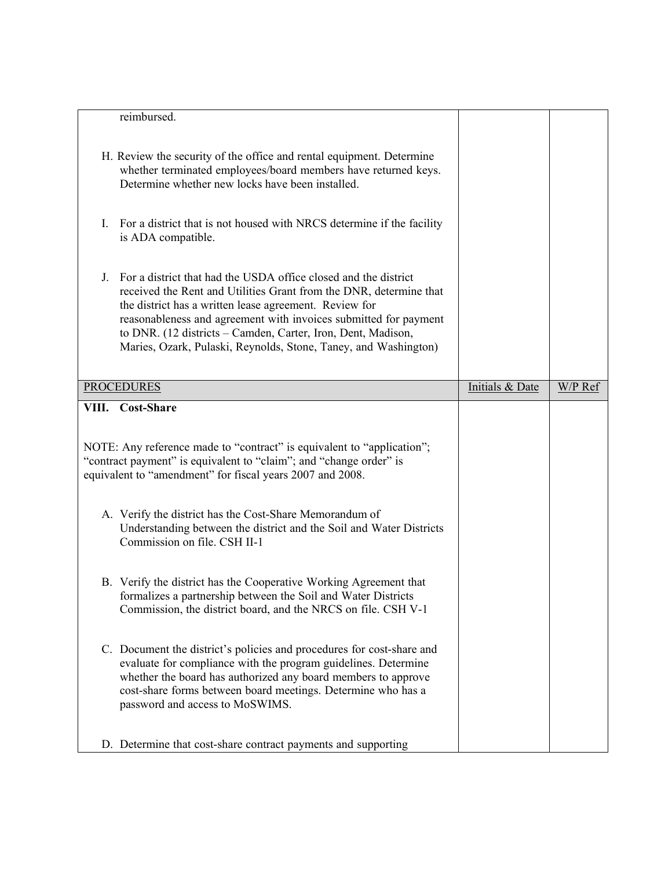|    | reimbursed.                                                                                                                                                                                                                                                                                                                                                                                            |                 |         |
|----|--------------------------------------------------------------------------------------------------------------------------------------------------------------------------------------------------------------------------------------------------------------------------------------------------------------------------------------------------------------------------------------------------------|-----------------|---------|
|    | H. Review the security of the office and rental equipment. Determine<br>whether terminated employees/board members have returned keys.<br>Determine whether new locks have been installed.                                                                                                                                                                                                             |                 |         |
| L. | For a district that is not housed with NRCS determine if the facility<br>is ADA compatible.                                                                                                                                                                                                                                                                                                            |                 |         |
| J. | For a district that had the USDA office closed and the district<br>received the Rent and Utilities Grant from the DNR, determine that<br>the district has a written lease agreement. Review for<br>reasonableness and agreement with invoices submitted for payment<br>to DNR. (12 districts - Camden, Carter, Iron, Dent, Madison,<br>Maries, Ozark, Pulaski, Reynolds, Stone, Taney, and Washington) |                 |         |
|    | <b>PROCEDURES</b>                                                                                                                                                                                                                                                                                                                                                                                      | Initials & Date | W/P Ref |
|    | VIII. Cost-Share                                                                                                                                                                                                                                                                                                                                                                                       |                 |         |
|    | NOTE: Any reference made to "contract" is equivalent to "application";<br>"contract payment" is equivalent to "claim"; and "change order" is<br>equivalent to "amendment" for fiscal years 2007 and 2008.                                                                                                                                                                                              |                 |         |
|    | A. Verify the district has the Cost-Share Memorandum of<br>Understanding between the district and the Soil and Water Districts<br>Commission on file. CSH II-1                                                                                                                                                                                                                                         |                 |         |
|    | B. Verify the district has the Cooperative Working Agreement that<br>formalizes a partnership between the Soil and Water Districts<br>Commission, the district board, and the NRCS on file. CSH V-1                                                                                                                                                                                                    |                 |         |
|    | C. Document the district's policies and procedures for cost-share and<br>evaluate for compliance with the program guidelines. Determine<br>whether the board has authorized any board members to approve<br>cost-share forms between board meetings. Determine who has a<br>password and access to MoSWIMS.                                                                                            |                 |         |
|    | D. Determine that cost-share contract payments and supporting                                                                                                                                                                                                                                                                                                                                          |                 |         |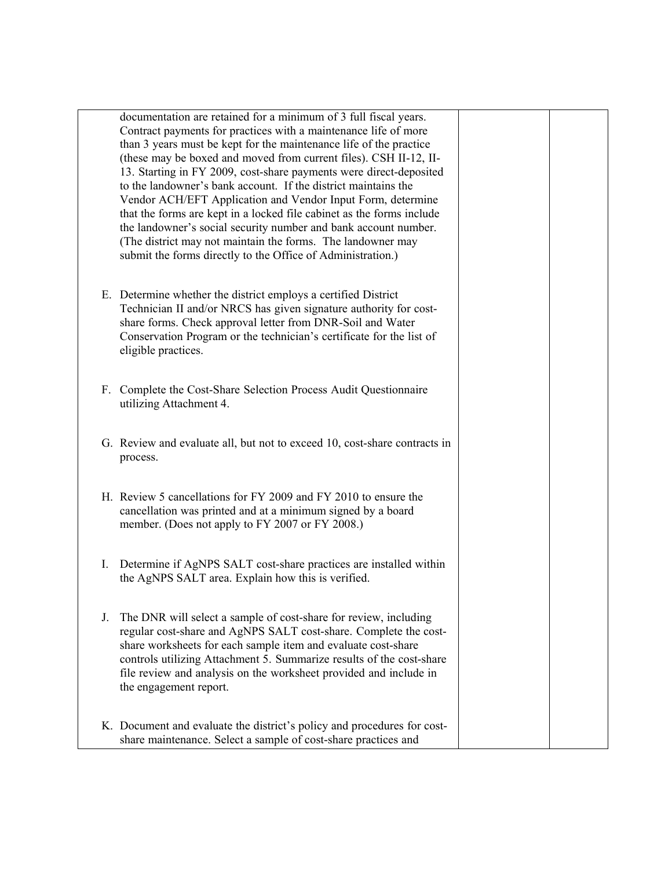|    | documentation are retained for a minimum of 3 full fiscal years.<br>Contract payments for practices with a maintenance life of more<br>than 3 years must be kept for the maintenance life of the practice<br>(these may be boxed and moved from current files). CSH II-12, II-<br>13. Starting in FY 2009, cost-share payments were direct-deposited<br>to the landowner's bank account. If the district maintains the<br>Vendor ACH/EFT Application and Vendor Input Form, determine<br>that the forms are kept in a locked file cabinet as the forms include<br>the landowner's social security number and bank account number.<br>(The district may not maintain the forms. The landowner may<br>submit the forms directly to the Office of Administration.) |
|----|-----------------------------------------------------------------------------------------------------------------------------------------------------------------------------------------------------------------------------------------------------------------------------------------------------------------------------------------------------------------------------------------------------------------------------------------------------------------------------------------------------------------------------------------------------------------------------------------------------------------------------------------------------------------------------------------------------------------------------------------------------------------|
|    | E. Determine whether the district employs a certified District<br>Technician II and/or NRCS has given signature authority for cost-<br>share forms. Check approval letter from DNR-Soil and Water<br>Conservation Program or the technician's certificate for the list of<br>eligible practices.                                                                                                                                                                                                                                                                                                                                                                                                                                                                |
|    | F. Complete the Cost-Share Selection Process Audit Questionnaire<br>utilizing Attachment 4.                                                                                                                                                                                                                                                                                                                                                                                                                                                                                                                                                                                                                                                                     |
|    | G. Review and evaluate all, but not to exceed 10, cost-share contracts in<br>process.                                                                                                                                                                                                                                                                                                                                                                                                                                                                                                                                                                                                                                                                           |
|    | H. Review 5 cancellations for FY 2009 and FY 2010 to ensure the<br>cancellation was printed and at a minimum signed by a board<br>member. (Does not apply to FY 2007 or FY 2008.)                                                                                                                                                                                                                                                                                                                                                                                                                                                                                                                                                                               |
| Ι. | Determine if AgNPS SALT cost-share practices are installed within<br>the AgNPS SALT area. Explain how this is verified.                                                                                                                                                                                                                                                                                                                                                                                                                                                                                                                                                                                                                                         |
| J. | The DNR will select a sample of cost-share for review, including<br>regular cost-share and AgNPS SALT cost-share. Complete the cost-<br>share worksheets for each sample item and evaluate cost-share<br>controls utilizing Attachment 5. Summarize results of the cost-share<br>file review and analysis on the worksheet provided and include in<br>the engagement report.                                                                                                                                                                                                                                                                                                                                                                                    |
|    | K. Document and evaluate the district's policy and procedures for cost-<br>share maintenance. Select a sample of cost-share practices and                                                                                                                                                                                                                                                                                                                                                                                                                                                                                                                                                                                                                       |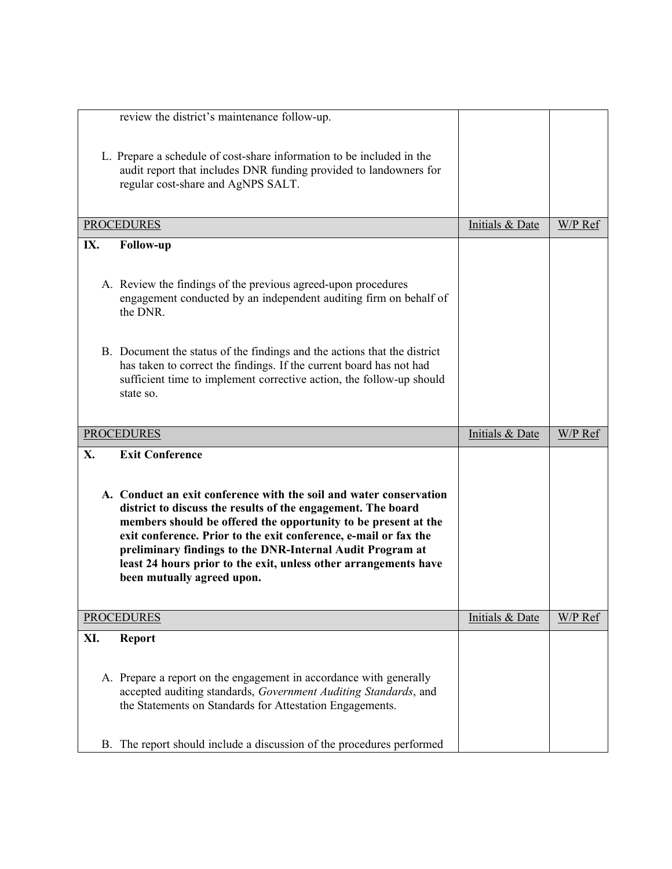|     | review the district's maintenance follow-up.                                                                                                                                                                                         |                 |         |
|-----|--------------------------------------------------------------------------------------------------------------------------------------------------------------------------------------------------------------------------------------|-----------------|---------|
|     | L. Prepare a schedule of cost-share information to be included in the                                                                                                                                                                |                 |         |
|     | audit report that includes DNR funding provided to landowners for                                                                                                                                                                    |                 |         |
|     | regular cost-share and AgNPS SALT.                                                                                                                                                                                                   |                 |         |
|     |                                                                                                                                                                                                                                      |                 |         |
|     | <b>PROCEDURES</b>                                                                                                                                                                                                                    | Initials & Date | W/P Ref |
| IX. | <b>Follow-up</b>                                                                                                                                                                                                                     |                 |         |
|     | A. Review the findings of the previous agreed-upon procedures<br>engagement conducted by an independent auditing firm on behalf of<br>the DNR.                                                                                       |                 |         |
|     | B. Document the status of the findings and the actions that the district<br>has taken to correct the findings. If the current board has not had<br>sufficient time to implement corrective action, the follow-up should<br>state so. |                 |         |
|     | <b>PROCEDURES</b>                                                                                                                                                                                                                    | Initials & Date | W/P Ref |
| X.  | <b>Exit Conference</b>                                                                                                                                                                                                               |                 |         |
|     |                                                                                                                                                                                                                                      |                 |         |
|     | A. Conduct an exit conference with the soil and water conservation                                                                                                                                                                   |                 |         |
|     | district to discuss the results of the engagement. The board                                                                                                                                                                         |                 |         |
|     | members should be offered the opportunity to be present at the                                                                                                                                                                       |                 |         |
|     | exit conference. Prior to the exit conference, e-mail or fax the                                                                                                                                                                     |                 |         |
|     | preliminary findings to the DNR-Internal Audit Program at<br>least 24 hours prior to the exit, unless other arrangements have                                                                                                        |                 |         |
|     | been mutually agreed upon.                                                                                                                                                                                                           |                 |         |
|     |                                                                                                                                                                                                                                      |                 |         |
|     | <b>PROCEDURES</b>                                                                                                                                                                                                                    | Initials & Date | W/P Ref |
| XI. | <b>Report</b>                                                                                                                                                                                                                        |                 |         |
|     |                                                                                                                                                                                                                                      |                 |         |
|     | A. Prepare a report on the engagement in accordance with generally<br>accepted auditing standards, Government Auditing Standards, and<br>the Statements on Standards for Attestation Engagements.                                    |                 |         |
|     | B. The report should include a discussion of the procedures performed                                                                                                                                                                |                 |         |